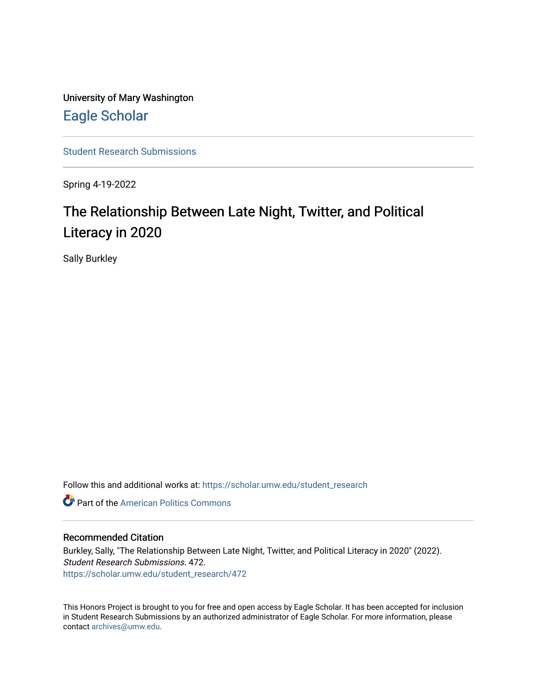University of Mary Washington [Eagle Scholar](https://scholar.umw.edu/) 

[Student Research Submissions](https://scholar.umw.edu/student_research) 

Spring 4-19-2022

# The Relationship Between Late Night, Twitter, and Political Literacy in 2020

Sally Burkley

Follow this and additional works at: [https://scholar.umw.edu/student\\_research](https://scholar.umw.edu/student_research?utm_source=scholar.umw.edu%2Fstudent_research%2F472&utm_medium=PDF&utm_campaign=PDFCoverPages)

**C** Part of the American Politics Commons

#### Recommended Citation

Burkley, Sally, "The Relationship Between Late Night, Twitter, and Political Literacy in 2020" (2022). Student Research Submissions. 472. [https://scholar.umw.edu/student\\_research/472](https://scholar.umw.edu/student_research/472?utm_source=scholar.umw.edu%2Fstudent_research%2F472&utm_medium=PDF&utm_campaign=PDFCoverPages)

This Honors Project is brought to you for free and open access by Eagle Scholar. It has been accepted for inclusion in Student Research Submissions by an authorized administrator of Eagle Scholar. For more information, please contact [archives@umw.edu](mailto:archives@umw.edu).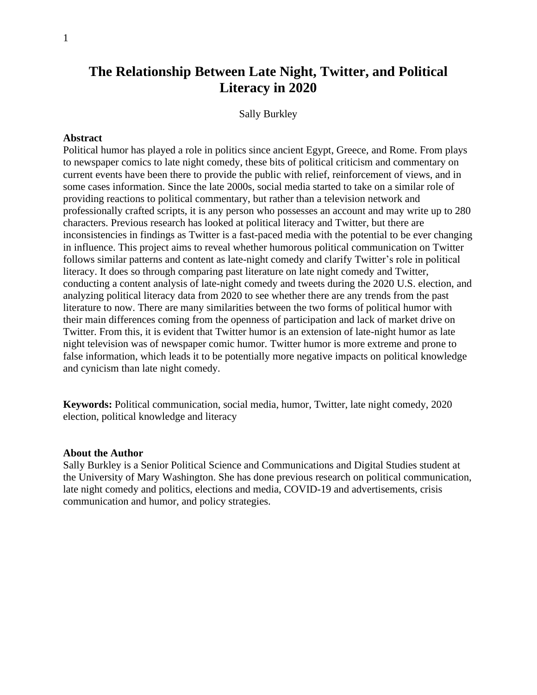## **The Relationship Between Late Night, Twitter, and Political Literacy in 2020**

Sally Burkley

#### **Abstract**

Political humor has played a role in politics since ancient Egypt, Greece, and Rome. From plays to newspaper comics to late night comedy, these bits of political criticism and commentary on current events have been there to provide the public with relief, reinforcement of views, and in some cases information. Since the late 2000s, social media started to take on a similar role of providing reactions to political commentary, but rather than a television network and professionally crafted scripts, it is any person who possesses an account and may write up to 280 characters. Previous research has looked at political literacy and Twitter, but there are inconsistencies in findings as Twitter is a fast-paced media with the potential to be ever changing in influence. This project aims to reveal whether humorous political communication on Twitter follows similar patterns and content as late-night comedy and clarify Twitter's role in political literacy. It does so through comparing past literature on late night comedy and Twitter, conducting a content analysis of late-night comedy and tweets during the 2020 U.S. election, and analyzing political literacy data from 2020 to see whether there are any trends from the past literature to now. There are many similarities between the two forms of political humor with their main differences coming from the openness of participation and lack of market drive on Twitter. From this, it is evident that Twitter humor is an extension of late-night humor as late night television was of newspaper comic humor. Twitter humor is more extreme and prone to false information, which leads it to be potentially more negative impacts on political knowledge and cynicism than late night comedy.

**Keywords:** Political communication, social media, humor, Twitter, late night comedy, 2020 election, political knowledge and literacy

#### **About the Author**

Sally Burkley is a Senior Political Science and Communications and Digital Studies student at the University of Mary Washington. She has done previous research on political communication, late night comedy and politics, elections and media, COVID-19 and advertisements, crisis communication and humor, and policy strategies.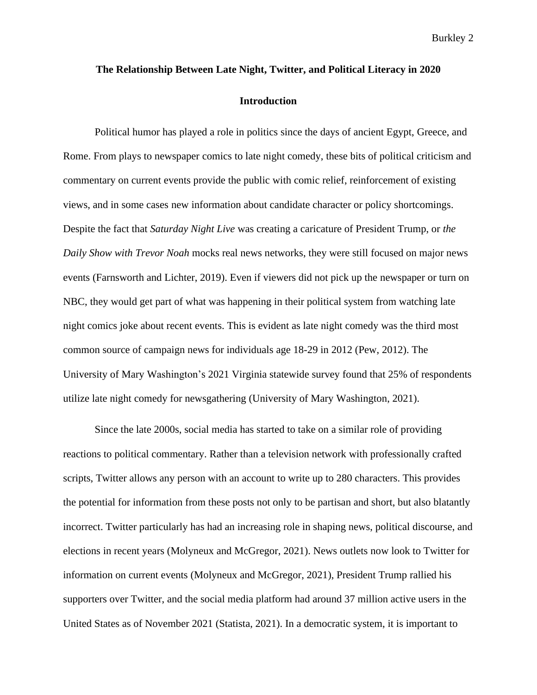# **The Relationship Between Late Night, Twitter, and Political Literacy in 2020 Introduction**

Political humor has played a role in politics since the days of ancient Egypt, Greece, and Rome. From plays to newspaper comics to late night comedy, these bits of political criticism and commentary on current events provide the public with comic relief, reinforcement of existing views, and in some cases new information about candidate character or policy shortcomings. Despite the fact that *Saturday Night Live* was creating a caricature of President Trump, or *the Daily Show with Trevor Noah* mocks real news networks, they were still focused on major news events (Farnsworth and Lichter, 2019). Even if viewers did not pick up the newspaper or turn on NBC, they would get part of what was happening in their political system from watching late night comics joke about recent events. This is evident as late night comedy was the third most common source of campaign news for individuals age 18-29 in 2012 (Pew, 2012). The University of Mary Washington's 2021 Virginia statewide survey found that 25% of respondents utilize late night comedy for newsgathering (University of Mary Washington, 2021).

Since the late 2000s, social media has started to take on a similar role of providing reactions to political commentary. Rather than a television network with professionally crafted scripts, Twitter allows any person with an account to write up to 280 characters. This provides the potential for information from these posts not only to be partisan and short, but also blatantly incorrect. Twitter particularly has had an increasing role in shaping news, political discourse, and elections in recent years (Molyneux and McGregor, 2021). News outlets now look to Twitter for information on current events (Molyneux and McGregor, 2021), President Trump rallied his supporters over Twitter, and the social media platform had around 37 million active users in the United States as of November 2021 (Statista, 2021). In a democratic system, it is important to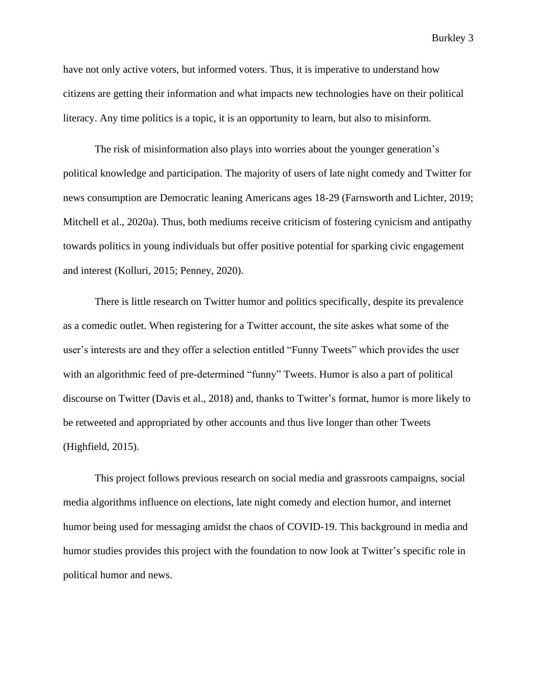have not only active voters, but informed voters. Thus, it is imperative to understand how citizens are getting their information and what impacts new technologies have on their political literacy. Any time politics is a topic, it is an opportunity to learn, but also to misinform.

The risk of misinformation also plays into worries about the younger generation's political knowledge and participation. The majority of users of late night comedy and Twitter for news consumption are Democratic leaning Americans ages 18-29 (Farnsworth and Lichter, 2019; Mitchell et al., 2020a). Thus, both mediums receive criticism of fostering cynicism and antipathy towards politics in young individuals but offer positive potential for sparking civic engagement and interest (Kolluri, 2015; Penney, 2020).

There is little research on Twitter humor and politics specifically, despite its prevalence as a comedic outlet. When registering for a Twitter account, the site askes what some of the user's interests are and they offer a selection entitled "Funny Tweets" which provides the user with an algorithmic feed of pre-determined "funny" Tweets. Humor is also a part of political discourse on Twitter (Davis et al., 2018) and, thanks to Twitter's format, humor is more likely to be retweeted and appropriated by other accounts and thus live longer than other Tweets (Highfield, 2015).

This project follows previous research on social media and grassroots campaigns, social media algorithms influence on elections, late night comedy and election humor, and internet humor being used for messaging amidst the chaos of COVID-19. This background in media and humor studies provides this project with the foundation to now look at Twitter's specific role in political humor and news.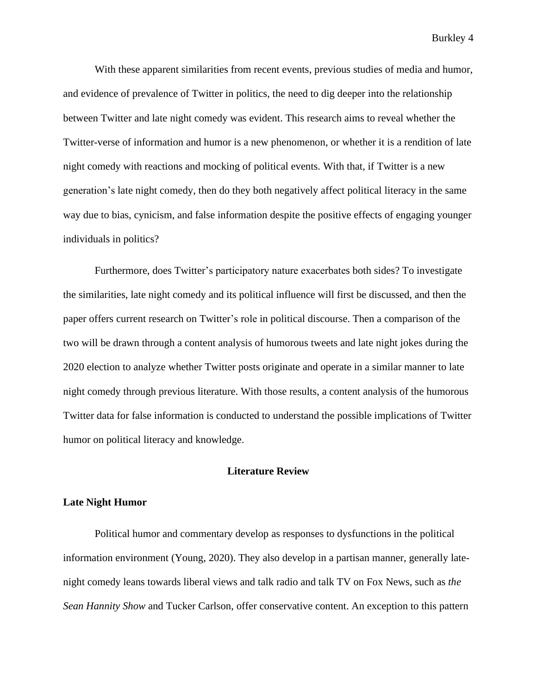With these apparent similarities from recent events, previous studies of media and humor, and evidence of prevalence of Twitter in politics, the need to dig deeper into the relationship between Twitter and late night comedy was evident. This research aims to reveal whether the Twitter-verse of information and humor is a new phenomenon, or whether it is a rendition of late night comedy with reactions and mocking of political events. With that, if Twitter is a new generation's late night comedy, then do they both negatively affect political literacy in the same way due to bias, cynicism, and false information despite the positive effects of engaging younger individuals in politics?

Furthermore, does Twitter's participatory nature exacerbates both sides? To investigate the similarities, late night comedy and its political influence will first be discussed, and then the paper offers current research on Twitter's role in political discourse. Then a comparison of the two will be drawn through a content analysis of humorous tweets and late night jokes during the 2020 election to analyze whether Twitter posts originate and operate in a similar manner to late night comedy through previous literature. With those results, a content analysis of the humorous Twitter data for false information is conducted to understand the possible implications of Twitter humor on political literacy and knowledge.

#### **Literature Review**

#### **Late Night Humor**

Political humor and commentary develop as responses to dysfunctions in the political information environment (Young, 2020). They also develop in a partisan manner, generally latenight comedy leans towards liberal views and talk radio and talk TV on Fox News, such as *the Sean Hannity Show* and Tucker Carlson, offer conservative content. An exception to this pattern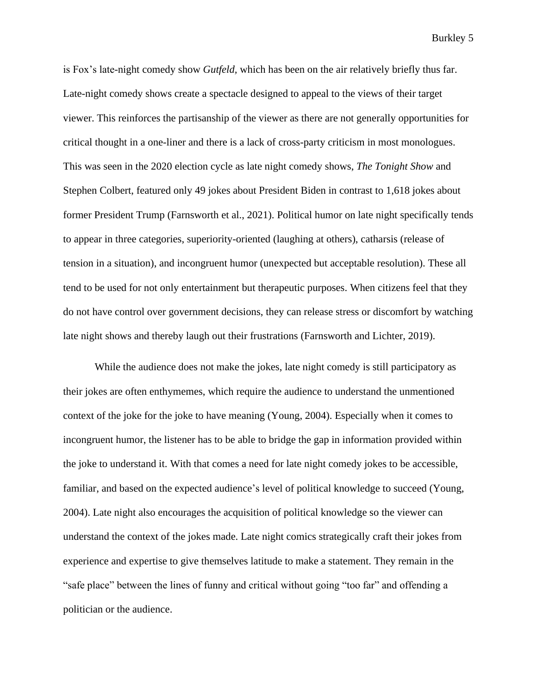is Fox's late-night comedy show *Gutfeld,* which has been on the air relatively briefly thus far. Late-night comedy shows create a spectacle designed to appeal to the views of their target viewer. This reinforces the partisanship of the viewer as there are not generally opportunities for critical thought in a one-liner and there is a lack of cross-party criticism in most monologues. This was seen in the 2020 election cycle as late night comedy shows, *The Tonight Show* and Stephen Colbert, featured only 49 jokes about President Biden in contrast to 1,618 jokes about former President Trump (Farnsworth et al., 2021). Political humor on late night specifically tends to appear in three categories, superiority-oriented (laughing at others), catharsis (release of tension in a situation), and incongruent humor (unexpected but acceptable resolution). These all tend to be used for not only entertainment but therapeutic purposes. When citizens feel that they do not have control over government decisions, they can release stress or discomfort by watching late night shows and thereby laugh out their frustrations (Farnsworth and Lichter, 2019).

While the audience does not make the jokes, late night comedy is still participatory as their jokes are often enthymemes, which require the audience to understand the unmentioned context of the joke for the joke to have meaning (Young, 2004). Especially when it comes to incongruent humor, the listener has to be able to bridge the gap in information provided within the joke to understand it. With that comes a need for late night comedy jokes to be accessible, familiar, and based on the expected audience's level of political knowledge to succeed (Young, 2004). Late night also encourages the acquisition of political knowledge so the viewer can understand the context of the jokes made. Late night comics strategically craft their jokes from experience and expertise to give themselves latitude to make a statement. They remain in the "safe place" between the lines of funny and critical without going "too far" and offending a politician or the audience.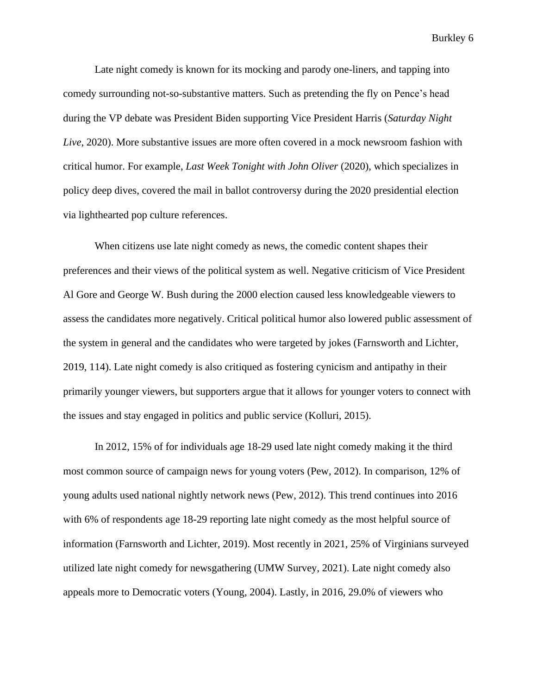Late night comedy is known for its mocking and parody one-liners, and tapping into comedy surrounding not-so-substantive matters. Such as pretending the fly on Pence's head during the VP debate was President Biden supporting Vice President Harris (*Saturday Night Live*, 2020). More substantive issues are more often covered in a mock newsroom fashion with critical humor. For example, *Last Week Tonight with John Oliver* (2020), which specializes in policy deep dives, covered the mail in ballot controversy during the 2020 presidential election via lighthearted pop culture references.

When citizens use late night comedy as news, the comedic content shapes their preferences and their views of the political system as well. Negative criticism of Vice President Al Gore and George W. Bush during the 2000 election caused less knowledgeable viewers to assess the candidates more negatively. Critical political humor also lowered public assessment of the system in general and the candidates who were targeted by jokes (Farnsworth and Lichter, 2019, 114). Late night comedy is also critiqued as fostering cynicism and antipathy in their primarily younger viewers, but supporters argue that it allows for younger voters to connect with the issues and stay engaged in politics and public service (Kolluri, 2015).

In 2012, 15% of for individuals age 18-29 used late night comedy making it the third most common source of campaign news for young voters (Pew, 2012). In comparison, 12% of young adults used national nightly network news (Pew, 2012). This trend continues into 2016 with 6% of respondents age 18-29 reporting late night comedy as the most helpful source of information (Farnsworth and Lichter, 2019). Most recently in 2021, 25% of Virginians surveyed utilized late night comedy for newsgathering (UMW Survey, 2021). Late night comedy also appeals more to Democratic voters (Young, 2004). Lastly, in 2016, 29.0% of viewers who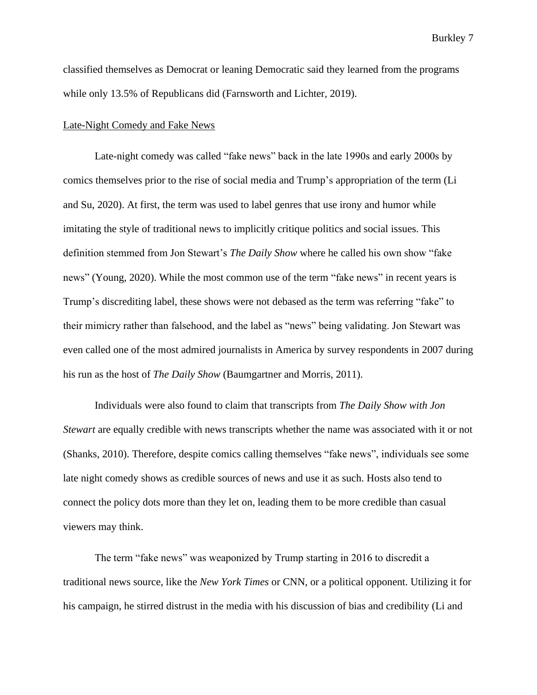classified themselves as Democrat or leaning Democratic said they learned from the programs while only 13.5% of Republicans did (Farnsworth and Lichter, 2019).

#### Late-Night Comedy and Fake News

Late-night comedy was called "fake news" back in the late 1990s and early 2000s by comics themselves prior to the rise of social media and Trump's appropriation of the term (Li and Su, 2020). At first, the term was used to label genres that use irony and humor while imitating the style of traditional news to implicitly critique politics and social issues. This definition stemmed from Jon Stewart's *The Daily Show* where he called his own show "fake news" (Young, 2020). While the most common use of the term "fake news" in recent years is Trump's discrediting label, these shows were not debased as the term was referring "fake" to their mimicry rather than falsehood, and the label as "news" being validating. Jon Stewart was even called one of the most admired journalists in America by survey respondents in 2007 during his run as the host of *The Daily Show* (Baumgartner and Morris, 2011).

Individuals were also found to claim that transcripts from *The Daily Show with Jon Stewart* are equally credible with news transcripts whether the name was associated with it or not (Shanks, 2010). Therefore, despite comics calling themselves "fake news", individuals see some late night comedy shows as credible sources of news and use it as such. Hosts also tend to connect the policy dots more than they let on, leading them to be more credible than casual viewers may think.

The term "fake news" was weaponized by Trump starting in 2016 to discredit a traditional news source, like the *New York Times* or CNN, or a political opponent. Utilizing it for his campaign, he stirred distrust in the media with his discussion of bias and credibility (Li and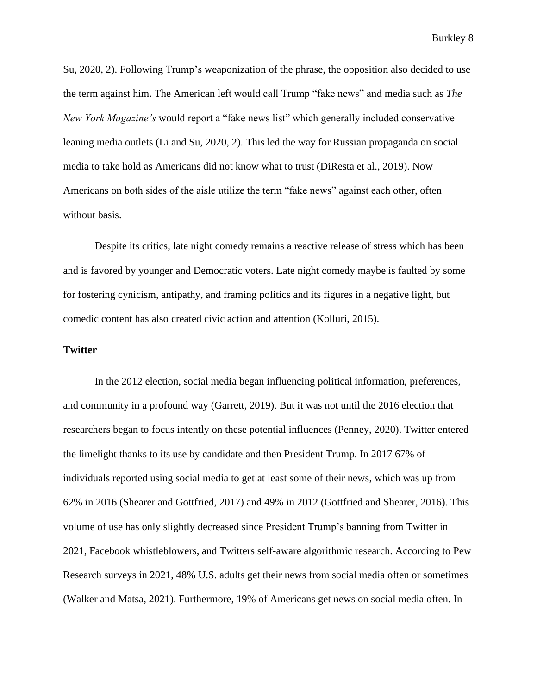Su, 2020, 2). Following Trump's weaponization of the phrase, the opposition also decided to use the term against him. The American left would call Trump "fake news" and media such as *The New York Magazine's* would report a "fake news list" which generally included conservative leaning media outlets (Li and Su, 2020, 2). This led the way for Russian propaganda on social media to take hold as Americans did not know what to trust (DiResta et al., 2019). Now Americans on both sides of the aisle utilize the term "fake news" against each other, often without basis.

Despite its critics, late night comedy remains a reactive release of stress which has been and is favored by younger and Democratic voters. Late night comedy maybe is faulted by some for fostering cynicism, antipathy, and framing politics and its figures in a negative light, but comedic content has also created civic action and attention (Kolluri, 2015).

#### **Twitter**

In the 2012 election, social media began influencing political information, preferences, and community in a profound way (Garrett, 2019). But it was not until the 2016 election that researchers began to focus intently on these potential influences (Penney, 2020). Twitter entered the limelight thanks to its use by candidate and then President Trump. In 2017 67% of individuals reported using social media to get at least some of their news, which was up from 62% in 2016 (Shearer and Gottfried, 2017) and 49% in 2012 (Gottfried and Shearer, 2016). This volume of use has only slightly decreased since President Trump's banning from Twitter in 2021, Facebook whistleblowers, and Twitters self-aware algorithmic research. According to Pew Research surveys in 2021, 48% U.S. adults get their news from social media often or sometimes (Walker and Matsa, 2021). Furthermore, 19% of Americans get news on social media often. In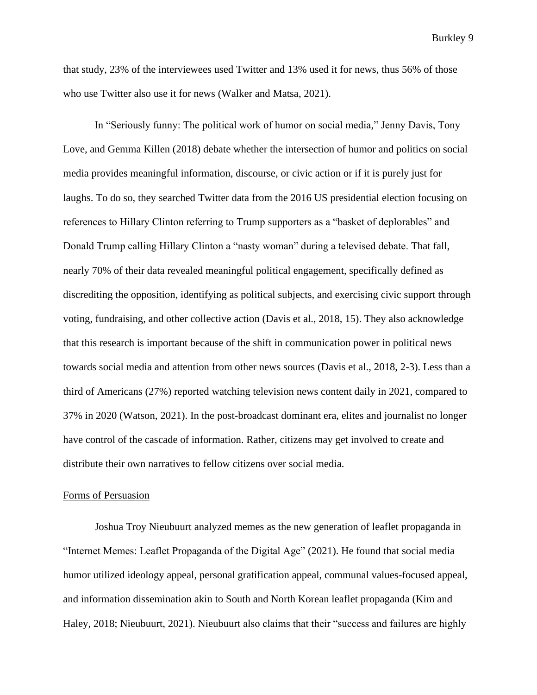that study, 23% of the interviewees used Twitter and 13% used it for news, thus 56% of those who use Twitter also use it for news (Walker and Matsa, 2021).

In "Seriously funny: The political work of humor on social media," Jenny Davis, Tony Love, and Gemma Killen (2018) debate whether the intersection of humor and politics on social media provides meaningful information, discourse, or civic action or if it is purely just for laughs. To do so, they searched Twitter data from the 2016 US presidential election focusing on references to Hillary Clinton referring to Trump supporters as a "basket of deplorables" and Donald Trump calling Hillary Clinton a "nasty woman" during a televised debate. That fall, nearly 70% of their data revealed meaningful political engagement, specifically defined as discrediting the opposition, identifying as political subjects, and exercising civic support through voting, fundraising, and other collective action (Davis et al., 2018, 15). They also acknowledge that this research is important because of the shift in communication power in political news towards social media and attention from other news sources (Davis et al., 2018, 2-3). Less than a third of Americans (27%) reported watching television news content daily in 2021, compared to 37% in 2020 (Watson, 2021). In the post-broadcast dominant era, elites and journalist no longer have control of the cascade of information. Rather, citizens may get involved to create and distribute their own narratives to fellow citizens over social media.

#### Forms of Persuasion

Joshua Troy Nieubuurt analyzed memes as the new generation of leaflet propaganda in "Internet Memes: Leaflet Propaganda of the Digital Age" (2021). He found that social media humor utilized ideology appeal, personal gratification appeal, communal values-focused appeal, and information dissemination akin to South and North Korean leaflet propaganda (Kim and Haley, 2018; Nieubuurt, 2021). Nieubuurt also claims that their "success and failures are highly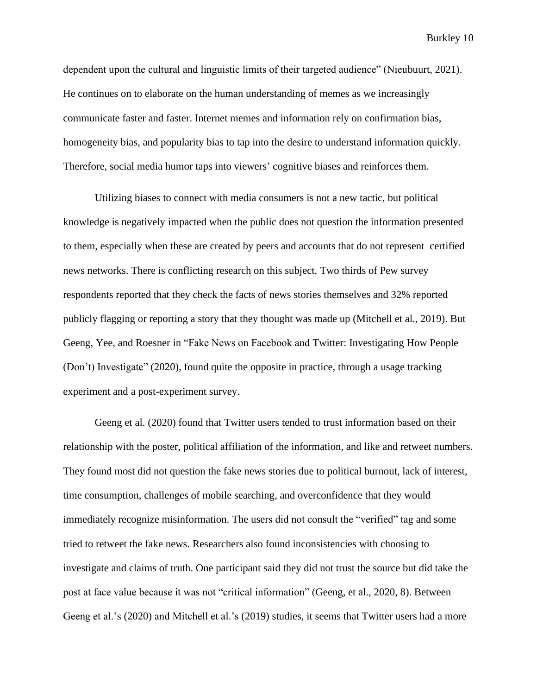dependent upon the cultural and linguistic limits of their targeted audience" (Nieubuurt, 2021). He continues on to elaborate on the human understanding of memes as we increasingly communicate faster and faster. Internet memes and information rely on confirmation bias, homogeneity bias, and popularity bias to tap into the desire to understand information quickly. Therefore, social media humor taps into viewers' cognitive biases and reinforces them.

Utilizing biases to connect with media consumers is not a new tactic, but political knowledge is negatively impacted when the public does not question the information presented to them, especially when these are created by peers and accounts that do not represent certified news networks. There is conflicting research on this subject. Two thirds of Pew survey respondents reported that they check the facts of news stories themselves and 32% reported publicly flagging or reporting a story that they thought was made up (Mitchell et al., 2019). But Geeng, Yee, and Roesner in "Fake News on Facebook and Twitter: Investigating How People (Don't) Investigate" (2020), found quite the opposite in practice, through a usage tracking experiment and a post-experiment survey.

Geeng et al. (2020) found that Twitter users tended to trust information based on their relationship with the poster, political affiliation of the information, and like and retweet numbers. They found most did not question the fake news stories due to political burnout, lack of interest, time consumption, challenges of mobile searching, and overconfidence that they would immediately recognize misinformation. The users did not consult the "verified" tag and some tried to retweet the fake news. Researchers also found inconsistencies with choosing to investigate and claims of truth. One participant said they did not trust the source but did take the post at face value because it was not "critical information" (Geeng, et al., 2020, 8). Between Geeng et al.'s (2020) and Mitchell et al.'s (2019) studies, it seems that Twitter users had a more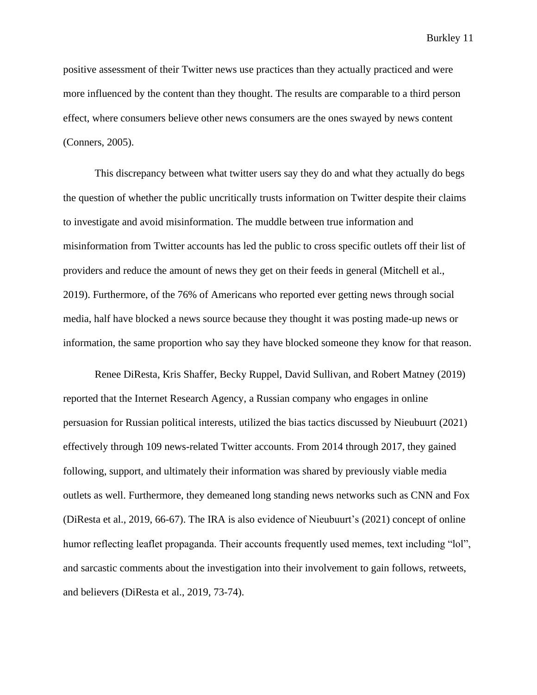positive assessment of their Twitter news use practices than they actually practiced and were more influenced by the content than they thought. The results are comparable to a third person effect, where consumers believe other news consumers are the ones swayed by news content (Conners, 2005).

This discrepancy between what twitter users say they do and what they actually do begs the question of whether the public uncritically trusts information on Twitter despite their claims to investigate and avoid misinformation. The muddle between true information and misinformation from Twitter accounts has led the public to cross specific outlets off their list of providers and reduce the amount of news they get on their feeds in general (Mitchell et al., 2019). Furthermore, of the 76% of Americans who reported ever getting news through social media, half have blocked a news source because they thought it was posting made-up news or information, the same proportion who say they have blocked someone they know for that reason.

Renee DiResta, Kris Shaffer, Becky Ruppel, David Sullivan, and Robert Matney (2019) reported that the Internet Research Agency, a Russian company who engages in online persuasion for Russian political interests, utilized the bias tactics discussed by Nieubuurt (2021) effectively through 109 news-related Twitter accounts. From 2014 through 2017, they gained following, support, and ultimately their information was shared by previously viable media outlets as well. Furthermore, they demeaned long standing news networks such as CNN and Fox (DiResta et al., 2019, 66-67). The IRA is also evidence of Nieubuurt's (2021) concept of online humor reflecting leaflet propaganda. Their accounts frequently used memes, text including "lol", and sarcastic comments about the investigation into their involvement to gain follows, retweets, and believers (DiResta et al., 2019, 73-74).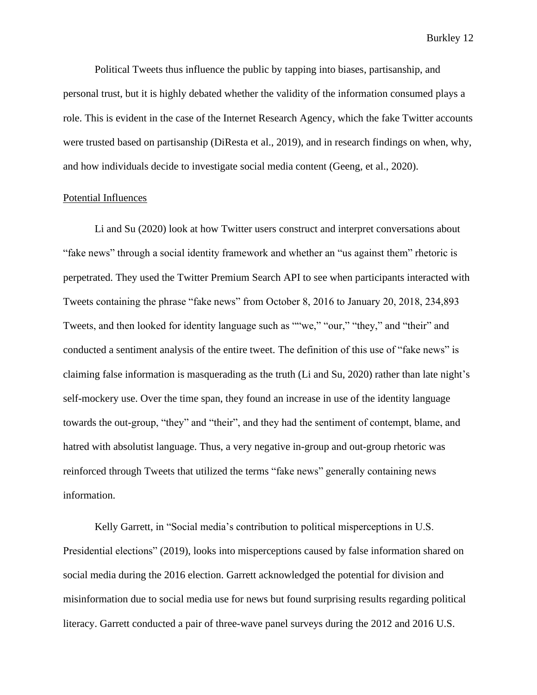Political Tweets thus influence the public by tapping into biases, partisanship, and personal trust, but it is highly debated whether the validity of the information consumed plays a role. This is evident in the case of the Internet Research Agency, which the fake Twitter accounts were trusted based on partisanship (DiResta et al., 2019), and in research findings on when, why, and how individuals decide to investigate social media content (Geeng, et al., 2020).

#### Potential Influences

Li and Su (2020) look at how Twitter users construct and interpret conversations about "fake news" through a social identity framework and whether an "us against them" rhetoric is perpetrated. They used the Twitter Premium Search API to see when participants interacted with Tweets containing the phrase "fake news" from October 8, 2016 to January 20, 2018, 234,893 Tweets, and then looked for identity language such as ""we," "our," "they," and "their" and conducted a sentiment analysis of the entire tweet. The definition of this use of "fake news" is claiming false information is masquerading as the truth (Li and Su, 2020) rather than late night's self-mockery use. Over the time span, they found an increase in use of the identity language towards the out-group, "they" and "their", and they had the sentiment of contempt, blame, and hatred with absolutist language. Thus, a very negative in-group and out-group rhetoric was reinforced through Tweets that utilized the terms "fake news" generally containing news information.

Kelly Garrett, in "Social media's contribution to political misperceptions in U.S. Presidential elections" (2019), looks into misperceptions caused by false information shared on social media during the 2016 election. Garrett acknowledged the potential for division and misinformation due to social media use for news but found surprising results regarding political literacy. Garrett conducted a pair of three-wave panel surveys during the 2012 and 2016 U.S.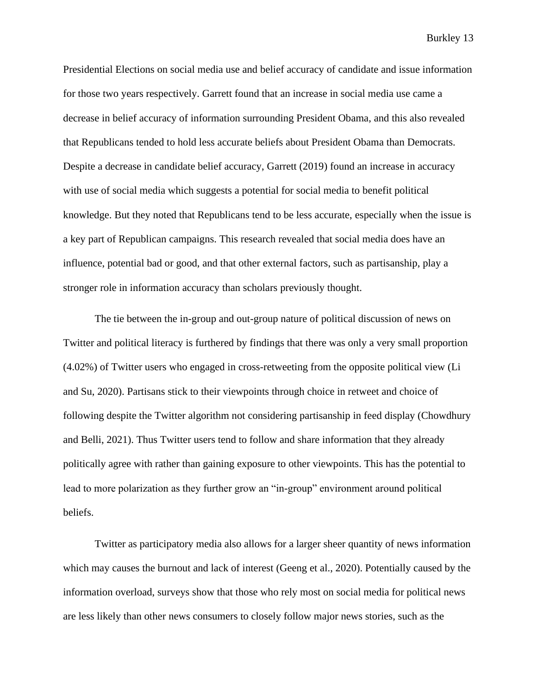Presidential Elections on social media use and belief accuracy of candidate and issue information for those two years respectively. Garrett found that an increase in social media use came a decrease in belief accuracy of information surrounding President Obama, and this also revealed that Republicans tended to hold less accurate beliefs about President Obama than Democrats. Despite a decrease in candidate belief accuracy, Garrett (2019) found an increase in accuracy with use of social media which suggests a potential for social media to benefit political knowledge. But they noted that Republicans tend to be less accurate, especially when the issue is a key part of Republican campaigns. This research revealed that social media does have an influence, potential bad or good, and that other external factors, such as partisanship, play a stronger role in information accuracy than scholars previously thought.

The tie between the in-group and out-group nature of political discussion of news on Twitter and political literacy is furthered by findings that there was only a very small proportion (4.02%) of Twitter users who engaged in cross-retweeting from the opposite political view (Li and Su, 2020). Partisans stick to their viewpoints through choice in retweet and choice of following despite the Twitter algorithm not considering partisanship in feed display (Chowdhury and Belli, 2021). Thus Twitter users tend to follow and share information that they already politically agree with rather than gaining exposure to other viewpoints. This has the potential to lead to more polarization as they further grow an "in-group" environment around political beliefs.

Twitter as participatory media also allows for a larger sheer quantity of news information which may causes the burnout and lack of interest (Geeng et al., 2020). Potentially caused by the information overload, surveys show that those who rely most on social media for political news are less likely than other news consumers to closely follow major news stories, such as the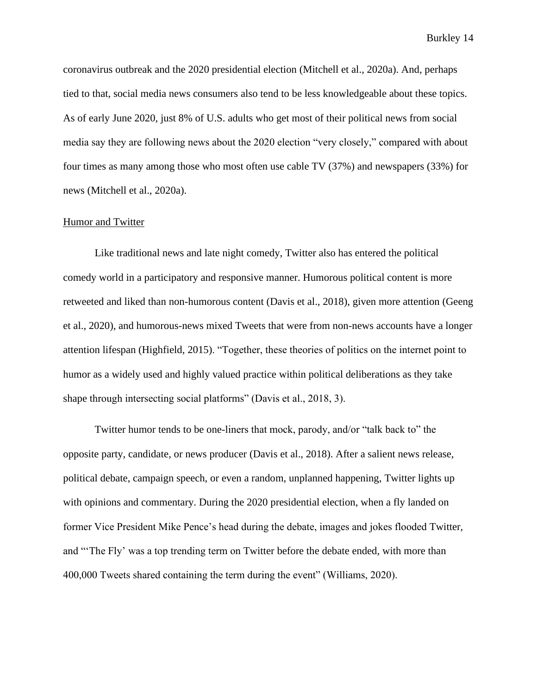coronavirus outbreak and the 2020 presidential election (Mitchell et al., 2020a). And, perhaps tied to that, social media news consumers also tend to be less knowledgeable about these topics. As of early June 2020, just 8% of U.S. adults who get most of their political news from social media say they are following news about the 2020 election "very closely," compared with about four times as many among those who most often use cable TV (37%) and newspapers (33%) for news (Mitchell et al., 2020a).

#### Humor and Twitter

Like traditional news and late night comedy, Twitter also has entered the political comedy world in a participatory and responsive manner. Humorous political content is more retweeted and liked than non-humorous content (Davis et al., 2018), given more attention (Geeng et al., 2020), and humorous-news mixed Tweets that were from non-news accounts have a longer attention lifespan (Highfield, 2015). "Together, these theories of politics on the internet point to humor as a widely used and highly valued practice within political deliberations as they take shape through intersecting social platforms" (Davis et al., 2018, 3).

Twitter humor tends to be one-liners that mock, parody, and/or "talk back to" the opposite party, candidate, or news producer (Davis et al., 2018). After a salient news release, political debate, campaign speech, or even a random, unplanned happening, Twitter lights up with opinions and commentary. During the 2020 presidential election, when a fly landed on former Vice President Mike Pence's head during the debate, images and jokes flooded Twitter, and "'The Fly' was a top trending term on Twitter before the debate ended, with more than 400,000 Tweets shared containing the term during the event" (Williams, 2020).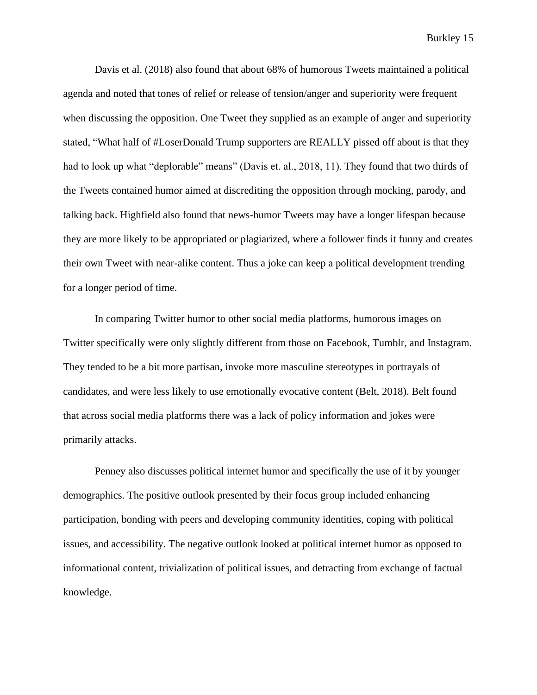Davis et al. (2018) also found that about 68% of humorous Tweets maintained a political agenda and noted that tones of relief or release of tension/anger and superiority were frequent when discussing the opposition. One Tweet they supplied as an example of anger and superiority stated, "What half of #LoserDonald Trump supporters are REALLY pissed off about is that they had to look up what "deplorable" means" (Davis et. al., 2018, 11). They found that two thirds of the Tweets contained humor aimed at discrediting the opposition through mocking, parody, and talking back. Highfield also found that news-humor Tweets may have a longer lifespan because they are more likely to be appropriated or plagiarized, where a follower finds it funny and creates their own Tweet with near-alike content. Thus a joke can keep a political development trending for a longer period of time.

In comparing Twitter humor to other social media platforms, humorous images on Twitter specifically were only slightly different from those on Facebook, Tumblr, and Instagram. They tended to be a bit more partisan, invoke more masculine stereotypes in portrayals of candidates, and were less likely to use emotionally evocative content (Belt, 2018). Belt found that across social media platforms there was a lack of policy information and jokes were primarily attacks.

Penney also discusses political internet humor and specifically the use of it by younger demographics. The positive outlook presented by their focus group included enhancing participation, bonding with peers and developing community identities, coping with political issues, and accessibility. The negative outlook looked at political internet humor as opposed to informational content, trivialization of political issues, and detracting from exchange of factual knowledge.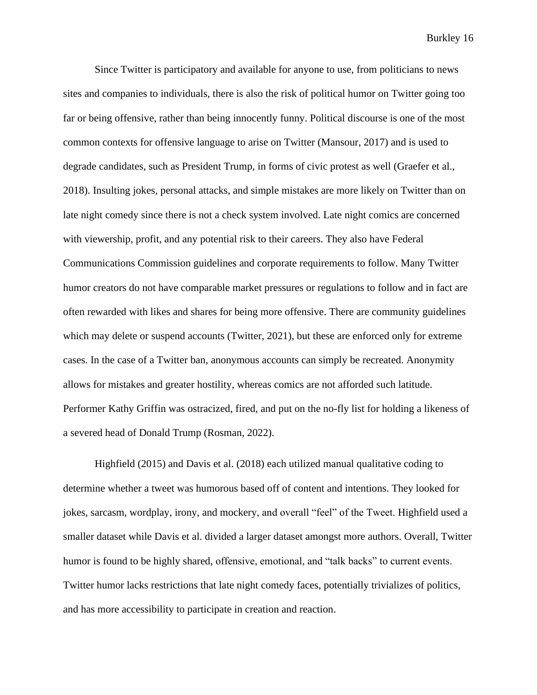Since Twitter is participatory and available for anyone to use, from politicians to news sites and companies to individuals, there is also the risk of political humor on Twitter going too far or being offensive, rather than being innocently funny. Political discourse is one of the most common contexts for offensive language to arise on Twitter (Mansour, 2017) and is used to degrade candidates, such as President Trump, in forms of civic protest as well (Graefer et al., 2018). Insulting jokes, personal attacks, and simple mistakes are more likely on Twitter than on late night comedy since there is not a check system involved. Late night comics are concerned with viewership, profit, and any potential risk to their careers. They also have Federal Communications Commission guidelines and corporate requirements to follow. Many Twitter humor creators do not have comparable market pressures or regulations to follow and in fact are often rewarded with likes and shares for being more offensive. There are community guidelines which may delete or suspend accounts (Twitter, 2021), but these are enforced only for extreme cases. In the case of a Twitter ban, anonymous accounts can simply be recreated. Anonymity allows for mistakes and greater hostility, whereas comics are not afforded such latitude. Performer Kathy Griffin was ostracized, fired, and put on the no-fly list for holding a likeness of a severed head of Donald Trump (Rosman, 2022).

Highfield (2015) and Davis et al. (2018) each utilized manual qualitative coding to determine whether a tweet was humorous based off of content and intentions. They looked for jokes, sarcasm, wordplay, irony, and mockery, and overall "feel" of the Tweet. Highfield used a smaller dataset while Davis et al. divided a larger dataset amongst more authors. Overall, Twitter humor is found to be highly shared, offensive, emotional, and "talk backs" to current events. Twitter humor lacks restrictions that late night comedy faces, potentially trivializes of politics, and has more accessibility to participate in creation and reaction.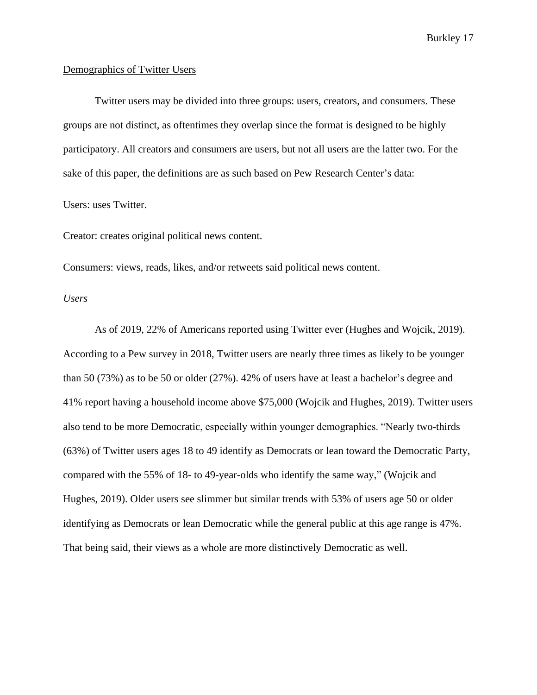#### Demographics of Twitter Users

Twitter users may be divided into three groups: users, creators, and consumers. These groups are not distinct, as oftentimes they overlap since the format is designed to be highly participatory. All creators and consumers are users, but not all users are the latter two. For the sake of this paper, the definitions are as such based on Pew Research Center's data:

Users: uses Twitter.

Creator: creates original political news content.

Consumers: views, reads, likes, and/or retweets said political news content.

*Users*

As of 2019, 22% of Americans reported using Twitter ever (Hughes and Wojcik, 2019). According to a Pew survey in 2018, Twitter users are nearly three times as likely to be younger than 50 (73%) as to be 50 or older (27%). 42% of users have at least a bachelor's degree and 41% report having a household income above \$75,000 (Wojcik and Hughes, 2019). Twitter users also tend to be more Democratic, especially within younger demographics. "Nearly two-thirds (63%) of Twitter users ages 18 to 49 identify as Democrats or lean toward the Democratic Party, compared with the 55% of 18- to 49-year-olds who identify the same way," (Wojcik and Hughes, 2019). Older users see slimmer but similar trends with 53% of users age 50 or older identifying as Democrats or lean Democratic while the general public at this age range is 47%. That being said, their views as a whole are more distinctively Democratic as well.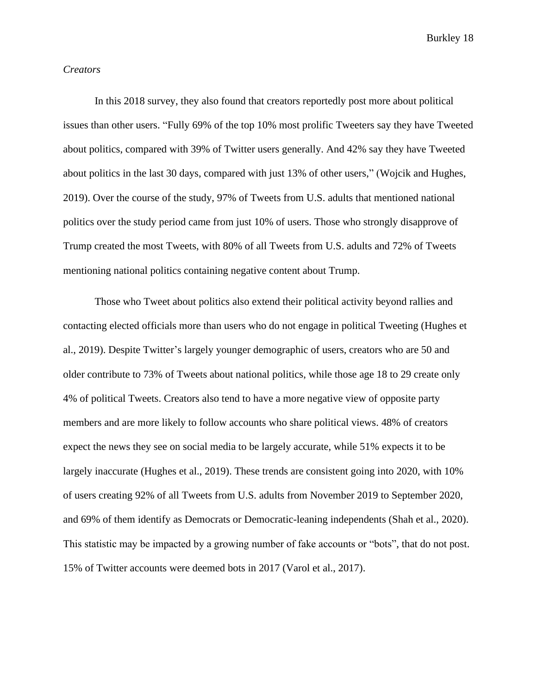#### *Creators*

In this 2018 survey, they also found that creators reportedly post more about political issues than other users. "Fully 69% of the top 10% most prolific Tweeters say they have Tweeted about politics, compared with 39% of Twitter users generally. And 42% say they have Tweeted about politics in the last 30 days, compared with just 13% of other users," (Wojcik and Hughes, 2019). Over the course of the study, 97% of Tweets from U.S. adults that mentioned national politics over the study period came from just 10% of users. Those who strongly disapprove of Trump created the most Tweets, with 80% of all Tweets from U.S. adults and 72% of Tweets mentioning national politics containing negative content about Trump.

Those who Tweet about politics also extend their political activity beyond rallies and contacting elected officials more than users who do not engage in political Tweeting (Hughes et al., 2019). Despite Twitter's largely younger demographic of users, creators who are 50 and older contribute to 73% of Tweets about national politics, while those age 18 to 29 create only 4% of political Tweets. Creators also tend to have a more negative view of opposite party members and are more likely to follow accounts who share political views. 48% of creators expect the news they see on social media to be largely accurate, while 51% expects it to be largely inaccurate (Hughes et al., 2019). These trends are consistent going into 2020, with 10% of users creating 92% of all Tweets from U.S. adults from November 2019 to September 2020, and 69% of them identify as Democrats or Democratic-leaning independents (Shah et al., 2020). This statistic may be impacted by a growing number of fake accounts or "bots", that do not post. 15% of Twitter accounts were deemed bots in 2017 (Varol et al., 2017).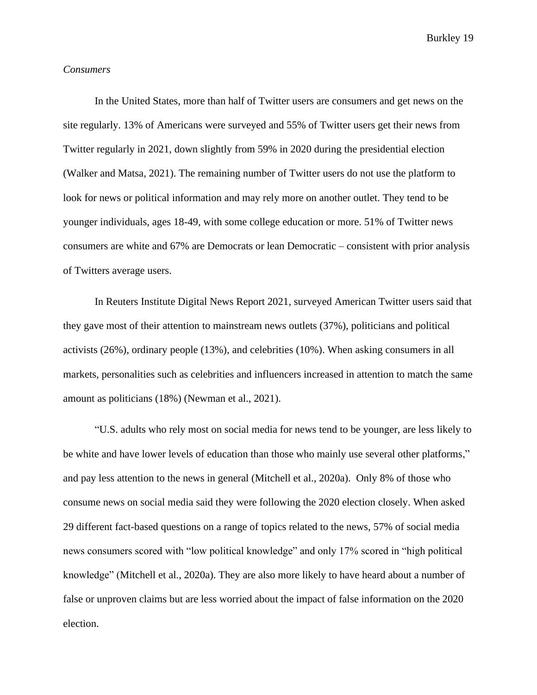#### *Consumers*

In the United States, more than half of Twitter users are consumers and get news on the site regularly. 13% of Americans were surveyed and 55% of Twitter users get their news from Twitter regularly in 2021, down slightly from 59% in 2020 during the presidential election (Walker and Matsa, 2021). The remaining number of Twitter users do not use the platform to look for news or political information and may rely more on another outlet. They tend to be younger individuals, ages 18-49, with some college education or more. 51% of Twitter news consumers are white and 67% are Democrats or lean Democratic – consistent with prior analysis of Twitters average users.

In Reuters Institute Digital News Report 2021, surveyed American Twitter users said that they gave most of their attention to mainstream news outlets (37%), politicians and political activists (26%), ordinary people (13%), and celebrities (10%). When asking consumers in all markets, personalities such as celebrities and influencers increased in attention to match the same amount as politicians (18%) (Newman et al., 2021).

"U.S. adults who rely most on social media for news tend to be younger, are less likely to be white and have lower levels of education than those who mainly use several other platforms," and pay less attention to the news in general (Mitchell et al., 2020a). Only 8% of those who consume news on social media said they were following the 2020 election closely. When asked 29 different fact-based questions on a range of topics related to the news, 57% of social media news consumers scored with "low political knowledge" and only 17% scored in "high political knowledge" (Mitchell et al., 2020a). They are also more likely to have heard about a number of false or unproven claims but are less worried about the impact of false information on the 2020 election.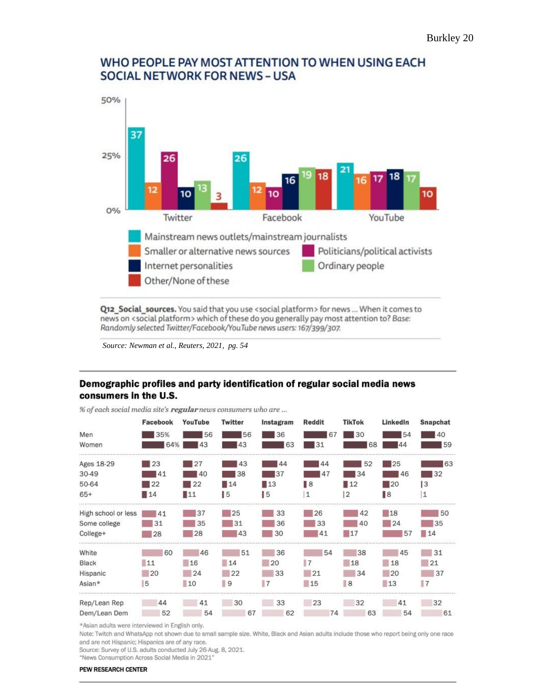

## WHO PEOPLE PAY MOST ATTENTION TO WHEN USING EACH **SOCIAL NETWORK FOR NEWS - USA**

Q12 Social sources. You said that you use <social platform> for news ... When it comes to news on <social platform> which of these do you generally pay most attention to? Base: Randomly selected Twitter/Facebook/YouTube news users: 167/399/307.

*Source: Newman et al., Reuters, 2021, pg. 54*

## Demographic profiles and party identification of regular social media news consumers in the U.S.

|                     | Facebook | YouTube | Twitter           | Instagram         | Reddit         | <b>TikTok</b>     | LinkedIn          | Snapchat       |
|---------------------|----------|---------|-------------------|-------------------|----------------|-------------------|-------------------|----------------|
| Men                 | 35%      | 56      | 56                | 36                | 67             | 30                | 54                | 40             |
| Women               | 64%      | 43      | 43                | 63                | 31             | 68                | ΔΔ                | 59             |
| Ages 18-29          | 23       | 27      | 43                | 44                | 44             | 52                | 25                | 63             |
| 30-49               | 41       | 40      | 38                | 37                | 47             | 34                | 46                | 132            |
| 50-64               | 122      | 22      | $\blacksquare$ 14 | $\blacksquare$ 13 | $\mathbb{R}^8$ | $\blacksquare$ 12 | $\blacksquare$ 20 | $\overline{3}$ |
| $65+$               | 14       | ∎11     | 15                | 15                | 1              | $\overline{2}$    | ∎8                | 1              |
| High school or less | 41       | 37      | 125               | 33                | 26             | 42                | 18                | 50             |
| Some college        | 31       | 35      | 31                | 36                | 33             | 40                | 24                | 35             |
| College+            | 28       | 28      | 43                | 30                | 41             | 17                | 57                | 14             |
| White               | 60       | 46      | 51                | 36                | 54             | 38                | 45                | 31             |
| Black               | 11       | 16      | 14                | 20                | $\vert$ 7      | 18                | 18                | 21             |
| Hispanic            | 20       | 24      | 22                | 33                | 21             | 34                | 20                | 37             |
| Asian*              | 5        | 10      | 9                 |                   | 15             | 8                 | 13                | $\blacksquare$ |
| Rep/Lean Rep        | 44       | 41      | 30                | 33                | 23             | 32                | 41                | 32             |
| Dem/Lean Dem        | 52       | 54      | 67                | 62                | 74             | 63                | 54                | 61             |

% of each social media site's regular news consumers who are ...

\*Asian adults were interviewed in English only.

Note: Twitch and WhatsApp not shown due to small sample size. White, Black and Asian adults include those who report being only one race and are not Hispanic; Hispanics are of any race.

Source: Survey of U.S. adults conducted July 26-Aug. 8, 2021.

"News Consumption Across Social Media in 2021"

#### PEW RESEARCH CENTER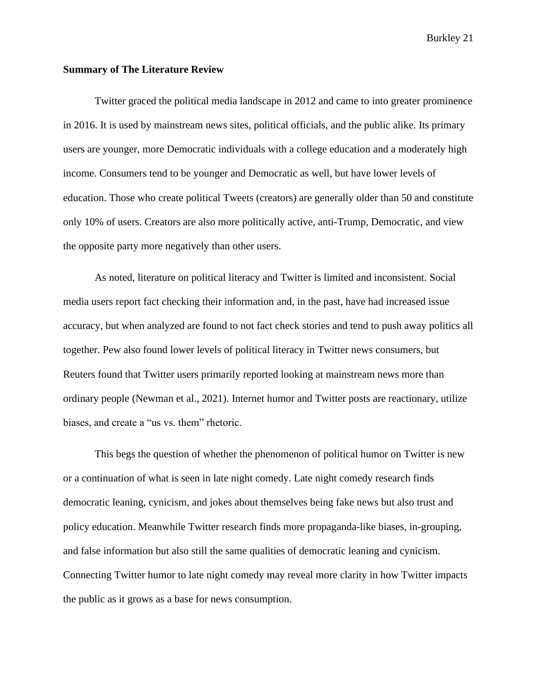#### **Summary of The Literature Review**

Twitter graced the political media landscape in 2012 and came to into greater prominence in 2016. It is used by mainstream news sites, political officials, and the public alike. Its primary users are younger, more Democratic individuals with a college education and a moderately high income. Consumers tend to be younger and Democratic as well, but have lower levels of education. Those who create political Tweets (creators) are generally older than 50 and constitute only 10% of users. Creators are also more politically active, anti-Trump, Democratic, and view the opposite party more negatively than other users.

As noted, literature on political literacy and Twitter is limited and inconsistent. Social media users report fact checking their information and, in the past, have had increased issue accuracy, but when analyzed are found to not fact check stories and tend to push away politics all together. Pew also found lower levels of political literacy in Twitter news consumers, but Reuters found that Twitter users primarily reported looking at mainstream news more than ordinary people (Newman et al., 2021). Internet humor and Twitter posts are reactionary, utilize biases, and create a "us vs. them" rhetoric.

This begs the question of whether the phenomenon of political humor on Twitter is new or a continuation of what is seen in late night comedy. Late night comedy research finds democratic leaning, cynicism, and jokes about themselves being fake news but also trust and policy education. Meanwhile Twitter research finds more propaganda-like biases, in-grouping, and false information but also still the same qualities of democratic leaning and cynicism. Connecting Twitter humor to late night comedy may reveal more clarity in how Twitter impacts the public as it grows as a base for news consumption.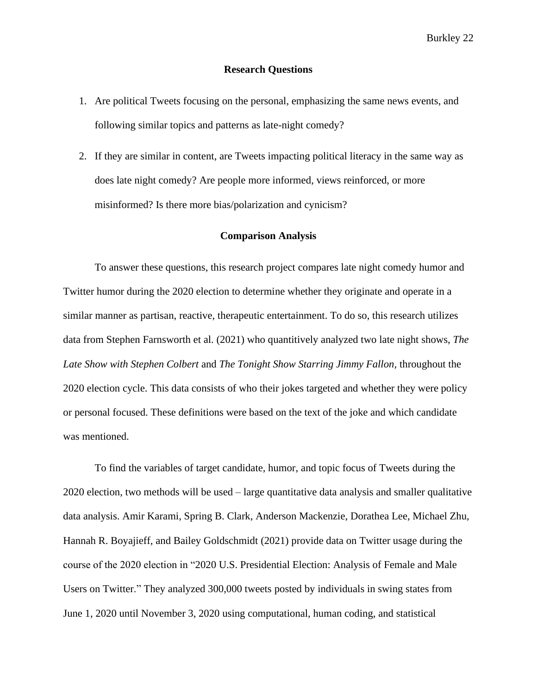#### **Research Questions**

- 1. Are political Tweets focusing on the personal, emphasizing the same news events, and following similar topics and patterns as late-night comedy?
- 2. If they are similar in content, are Tweets impacting political literacy in the same way as does late night comedy? Are people more informed, views reinforced, or more misinformed? Is there more bias/polarization and cynicism?

#### **Comparison Analysis**

To answer these questions, this research project compares late night comedy humor and Twitter humor during the 2020 election to determine whether they originate and operate in a similar manner as partisan, reactive, therapeutic entertainment. To do so, this research utilizes data from Stephen Farnsworth et al. (2021) who quantitively analyzed two late night shows, *The Late Show with Stephen Colbert* and *The Tonight Show Starring Jimmy Fallon,* throughout the 2020 election cycle. This data consists of who their jokes targeted and whether they were policy or personal focused. These definitions were based on the text of the joke and which candidate was mentioned.

To find the variables of target candidate, humor, and topic focus of Tweets during the 2020 election, two methods will be used – large quantitative data analysis and smaller qualitative data analysis. Amir Karami, Spring B. Clark, Anderson Mackenzie, Dorathea Lee, Michael Zhu, Hannah R. Boyajieff, and Bailey Goldschmidt (2021) provide data on Twitter usage during the course of the 2020 election in "2020 U.S. Presidential Election: Analysis of Female and Male Users on Twitter." They analyzed 300,000 tweets posted by individuals in swing states from June 1, 2020 until November 3, 2020 using computational, human coding, and statistical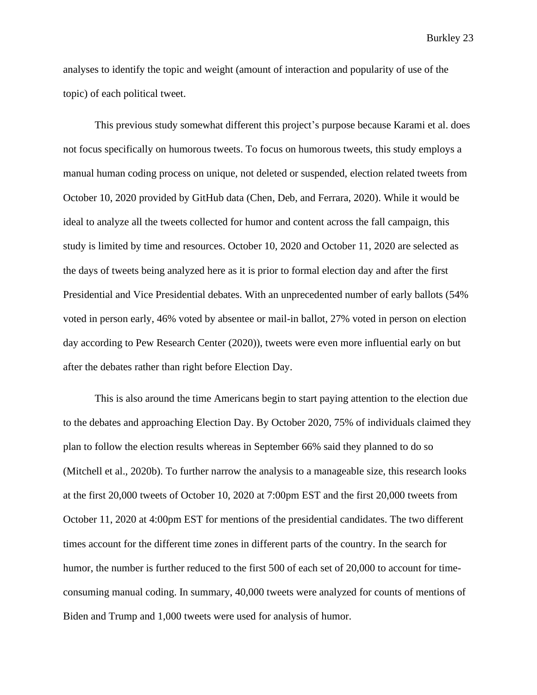analyses to identify the topic and weight (amount of interaction and popularity of use of the topic) of each political tweet.

This previous study somewhat different this project's purpose because Karami et al. does not focus specifically on humorous tweets. To focus on humorous tweets, this study employs a manual human coding process on unique, not deleted or suspended, election related tweets from October 10, 2020 provided by GitHub data (Chen, Deb, and Ferrara, 2020). While it would be ideal to analyze all the tweets collected for humor and content across the fall campaign, this study is limited by time and resources. October 10, 2020 and October 11, 2020 are selected as the days of tweets being analyzed here as it is prior to formal election day and after the first Presidential and Vice Presidential debates. With an unprecedented number of early ballots (54% voted in person early, 46% voted by absentee or mail-in ballot, 27% voted in person on election day according to Pew Research Center (2020)), tweets were even more influential early on but after the debates rather than right before Election Day.

This is also around the time Americans begin to start paying attention to the election due to the debates and approaching Election Day. By October 2020, 75% of individuals claimed they plan to follow the election results whereas in September 66% said they planned to do so (Mitchell et al., 2020b). To further narrow the analysis to a manageable size, this research looks at the first 20,000 tweets of October 10, 2020 at 7:00pm EST and the first 20,000 tweets from October 11, 2020 at 4:00pm EST for mentions of the presidential candidates. The two different times account for the different time zones in different parts of the country. In the search for humor, the number is further reduced to the first 500 of each set of 20,000 to account for timeconsuming manual coding. In summary, 40,000 tweets were analyzed for counts of mentions of Biden and Trump and 1,000 tweets were used for analysis of humor.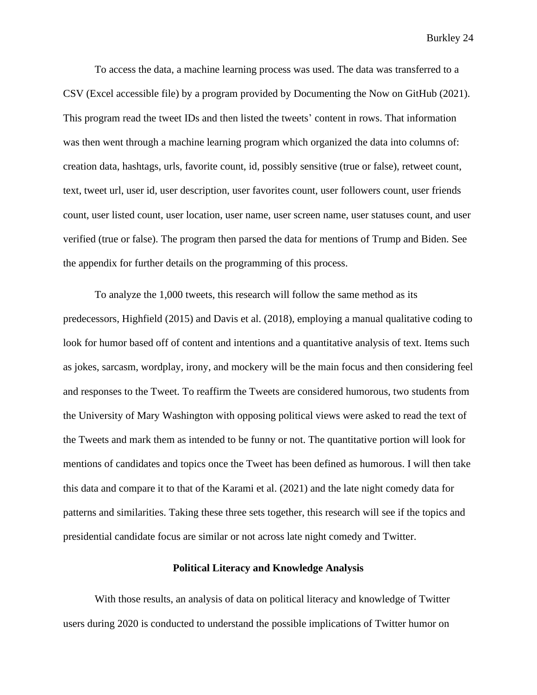To access the data, a machine learning process was used. The data was transferred to a CSV (Excel accessible file) by a program provided by Documenting the Now on GitHub (2021). This program read the tweet IDs and then listed the tweets' content in rows. That information was then went through a machine learning program which organized the data into columns of: creation data, hashtags, urls, favorite count, id, possibly sensitive (true or false), retweet count, text, tweet url, user id, user description, user favorites count, user followers count, user friends count, user listed count, user location, user name, user screen name, user statuses count, and user verified (true or false). The program then parsed the data for mentions of Trump and Biden. See the appendix for further details on the programming of this process.

To analyze the 1,000 tweets, this research will follow the same method as its predecessors, Highfield (2015) and Davis et al. (2018), employing a manual qualitative coding to look for humor based off of content and intentions and a quantitative analysis of text. Items such as jokes, sarcasm, wordplay, irony, and mockery will be the main focus and then considering feel and responses to the Tweet. To reaffirm the Tweets are considered humorous, two students from the University of Mary Washington with opposing political views were asked to read the text of the Tweets and mark them as intended to be funny or not. The quantitative portion will look for mentions of candidates and topics once the Tweet has been defined as humorous. I will then take this data and compare it to that of the Karami et al. (2021) and the late night comedy data for patterns and similarities. Taking these three sets together, this research will see if the topics and presidential candidate focus are similar or not across late night comedy and Twitter.

#### **Political Literacy and Knowledge Analysis**

With those results, an analysis of data on political literacy and knowledge of Twitter users during 2020 is conducted to understand the possible implications of Twitter humor on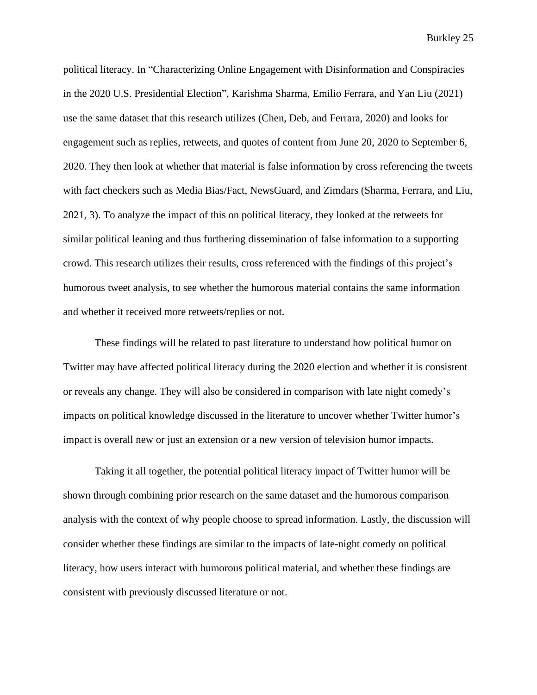political literacy. In "Characterizing Online Engagement with Disinformation and Conspiracies in the 2020 U.S. Presidential Election", Karishma Sharma, Emilio Ferrara, and Yan Liu (2021) use the same dataset that this research utilizes (Chen, Deb, and Ferrara, 2020) and looks for engagement such as replies, retweets, and quotes of content from June 20, 2020 to September 6, 2020. They then look at whether that material is false information by cross referencing the tweets with fact checkers such as Media Bias/Fact, NewsGuard, and Zimdars (Sharma, Ferrara, and Liu, 2021, 3). To analyze the impact of this on political literacy, they looked at the retweets for similar political leaning and thus furthering dissemination of false information to a supporting crowd. This research utilizes their results, cross referenced with the findings of this project's humorous tweet analysis, to see whether the humorous material contains the same information and whether it received more retweets/replies or not.

These findings will be related to past literature to understand how political humor on Twitter may have affected political literacy during the 2020 election and whether it is consistent or reveals any change. They will also be considered in comparison with late night comedy's impacts on political knowledge discussed in the literature to uncover whether Twitter humor's impact is overall new or just an extension or a new version of television humor impacts.

Taking it all together, the potential political literacy impact of Twitter humor will be shown through combining prior research on the same dataset and the humorous comparison analysis with the context of why people choose to spread information. Lastly, the discussion will consider whether these findings are similar to the impacts of late-night comedy on political literacy, how users interact with humorous political material, and whether these findings are consistent with previously discussed literature or not.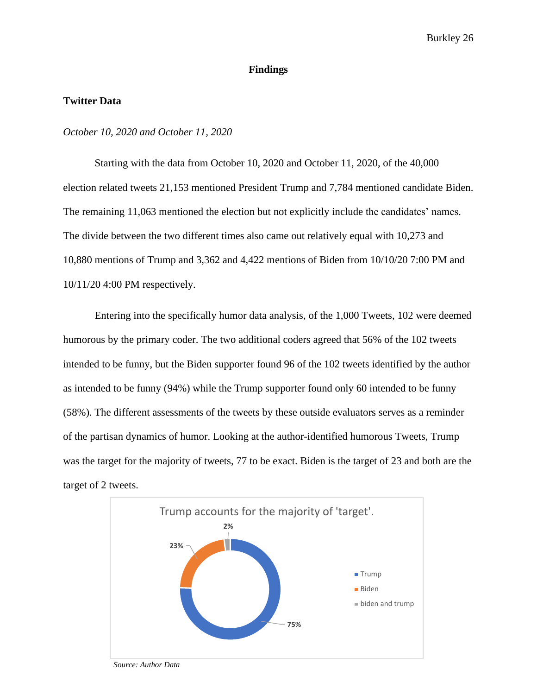#### **Findings**

#### **Twitter Data**

#### *October 10, 2020 and October 11, 2020*

Starting with the data from October 10, 2020 and October 11, 2020, of the 40,000 election related tweets 21,153 mentioned President Trump and 7,784 mentioned candidate Biden. The remaining 11,063 mentioned the election but not explicitly include the candidates' names. The divide between the two different times also came out relatively equal with 10,273 and 10,880 mentions of Trump and 3,362 and 4,422 mentions of Biden from 10/10/20 7:00 PM and 10/11/20 4:00 PM respectively.

Entering into the specifically humor data analysis, of the 1,000 Tweets, 102 were deemed humorous by the primary coder. The two additional coders agreed that 56% of the 102 tweets intended to be funny, but the Biden supporter found 96 of the 102 tweets identified by the author as intended to be funny (94%) while the Trump supporter found only 60 intended to be funny (58%). The different assessments of the tweets by these outside evaluators serves as a reminder of the partisan dynamics of humor. Looking at the author-identified humorous Tweets, Trump was the target for the majority of tweets, 77 to be exact. Biden is the target of 23 and both are the target of 2 tweets.



*Source: Author Data*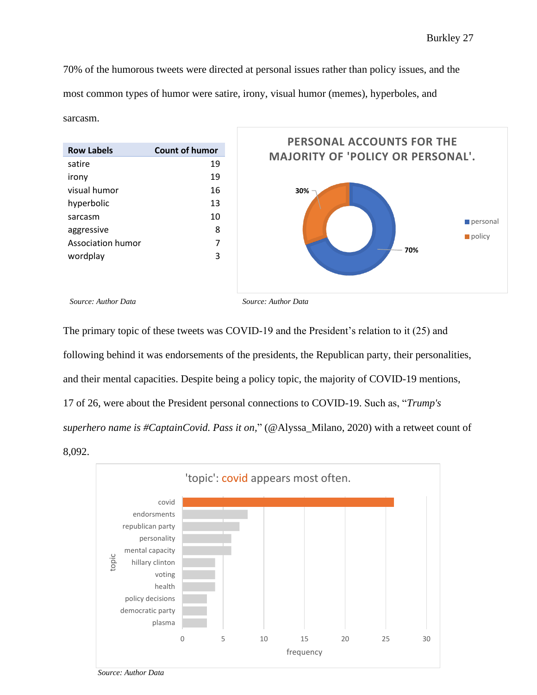70% of the humorous tweets were directed at personal issues rather than policy issues, and the most common types of humor were satire, irony, visual humor (memes), hyperboles, and sarcasm.



The primary topic of these tweets was COVID-19 and the President's relation to it (25) and following behind it was endorsements of the presidents, the Republican party, their personalities, and their mental capacities. Despite being a policy topic, the majority of COVID-19 mentions, 17 of 26, were about the President personal connections to COVID-19. Such as, "*Trump's superhero name is #CaptainCovid. Pass it on,*" (@Alyssa\_Milano, 2020) with a retweet count of 8,092.



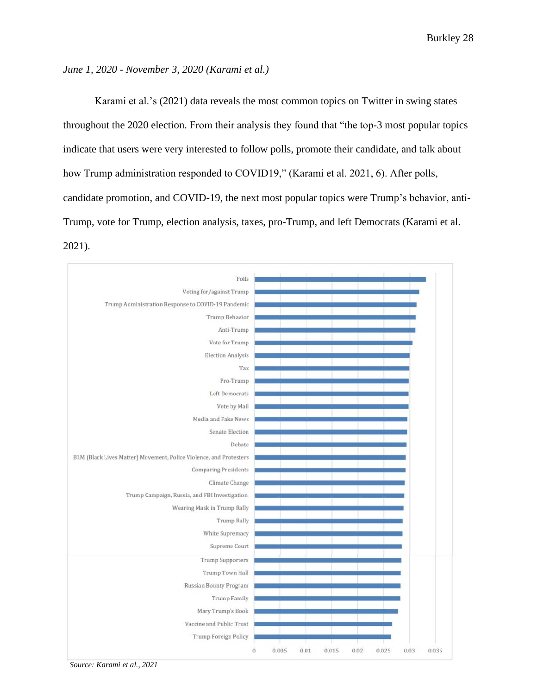#### *June 1, 2020 - November 3, 2020 (Karami et al.)*

Karami et al.'s (2021) data reveals the most common topics on Twitter in swing states throughout the 2020 election. From their analysis they found that "the top-3 most popular topics indicate that users were very interested to follow polls, promote their candidate, and talk about how Trump administration responded to COVID19," (Karami et al. 2021, 6). After polls, candidate promotion, and COVID-19, the next most popular topics were Trump's behavior, anti-Trump, vote for Trump, election analysis, taxes, pro-Trump, and left Democrats (Karami et al. 2021).

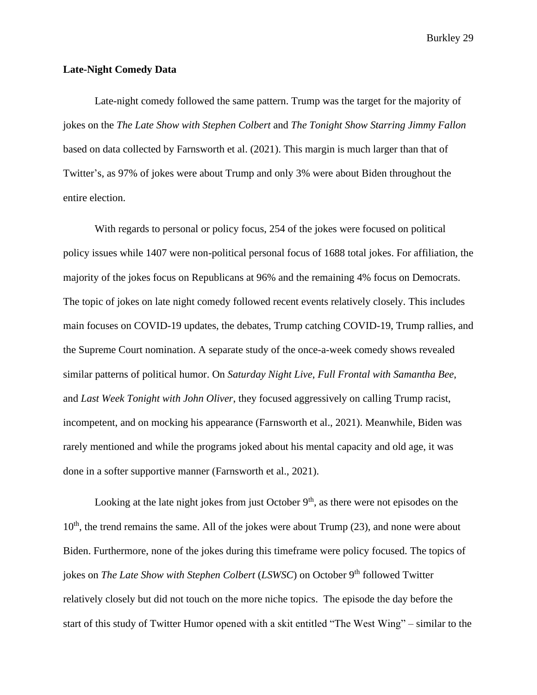#### **Late-Night Comedy Data**

Late-night comedy followed the same pattern. Trump was the target for the majority of jokes on the *The Late Show with Stephen Colbert* and *The Tonight Show Starring Jimmy Fallon* based on data collected by Farnsworth et al. (2021). This margin is much larger than that of Twitter's, as 97% of jokes were about Trump and only 3% were about Biden throughout the entire election.

With regards to personal or policy focus, 254 of the jokes were focused on political policy issues while 1407 were non-political personal focus of 1688 total jokes. For affiliation, the majority of the jokes focus on Republicans at 96% and the remaining 4% focus on Democrats. The topic of jokes on late night comedy followed recent events relatively closely. This includes main focuses on COVID-19 updates, the debates, Trump catching COVID-19, Trump rallies, and the Supreme Court nomination. A separate study of the once-a-week comedy shows revealed similar patterns of political humor. On *Saturday Night Live*, *Full Frontal with Samantha Bee*, and *Last Week Tonight with John Oliver*, they focused aggressively on calling Trump racist, incompetent, and on mocking his appearance (Farnsworth et al., 2021). Meanwhile, Biden was rarely mentioned and while the programs joked about his mental capacity and old age, it was done in a softer supportive manner (Farnsworth et al., 2021).

Looking at the late night jokes from just October  $9<sup>th</sup>$ , as there were not episodes on the 10<sup>th</sup>, the trend remains the same. All of the jokes were about Trump (23), and none were about Biden. Furthermore, none of the jokes during this timeframe were policy focused. The topics of jokes on *The Late Show with Stephen Colbert* (*LSWSC*) on October 9<sup>th</sup> followed Twitter relatively closely but did not touch on the more niche topics. The episode the day before the start of this study of Twitter Humor opened with a skit entitled "The West Wing" – similar to the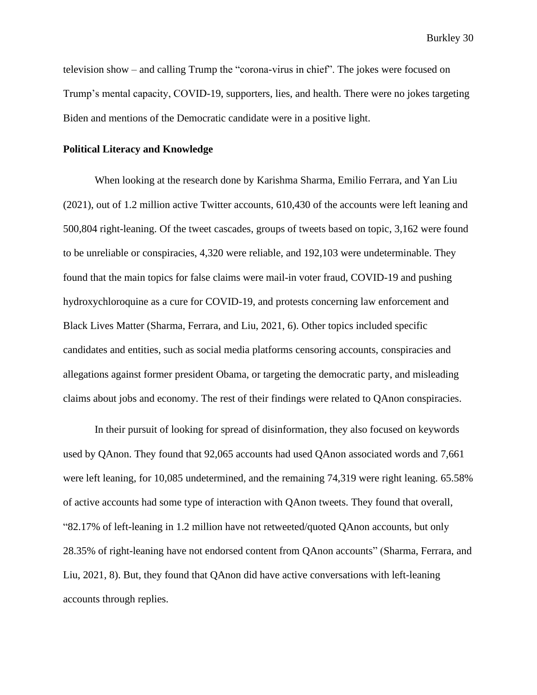television show – and calling Trump the "corona-virus in chief". The jokes were focused on Trump's mental capacity, COVID-19, supporters, lies, and health. There were no jokes targeting Biden and mentions of the Democratic candidate were in a positive light.

#### **Political Literacy and Knowledge**

When looking at the research done by Karishma Sharma, Emilio Ferrara, and Yan Liu (2021), out of 1.2 million active Twitter accounts, 610,430 of the accounts were left leaning and 500,804 right-leaning. Of the tweet cascades, groups of tweets based on topic, 3,162 were found to be unreliable or conspiracies, 4,320 were reliable, and 192,103 were undeterminable. They found that the main topics for false claims were mail-in voter fraud, COVID-19 and pushing hydroxychloroquine as a cure for COVID-19, and protests concerning law enforcement and Black Lives Matter (Sharma, Ferrara, and Liu, 2021, 6). Other topics included specific candidates and entities, such as social media platforms censoring accounts, conspiracies and allegations against former president Obama, or targeting the democratic party, and misleading claims about jobs and economy. The rest of their findings were related to QAnon conspiracies.

In their pursuit of looking for spread of disinformation, they also focused on keywords used by QAnon. They found that 92,065 accounts had used QAnon associated words and 7,661 were left leaning, for 10,085 undetermined, and the remaining 74,319 were right leaning. 65.58% of active accounts had some type of interaction with QAnon tweets. They found that overall, "82.17% of left-leaning in 1.2 million have not retweeted/quoted QAnon accounts, but only 28.35% of right-leaning have not endorsed content from QAnon accounts" (Sharma, Ferrara, and Liu, 2021, 8). But, they found that QAnon did have active conversations with left-leaning accounts through replies.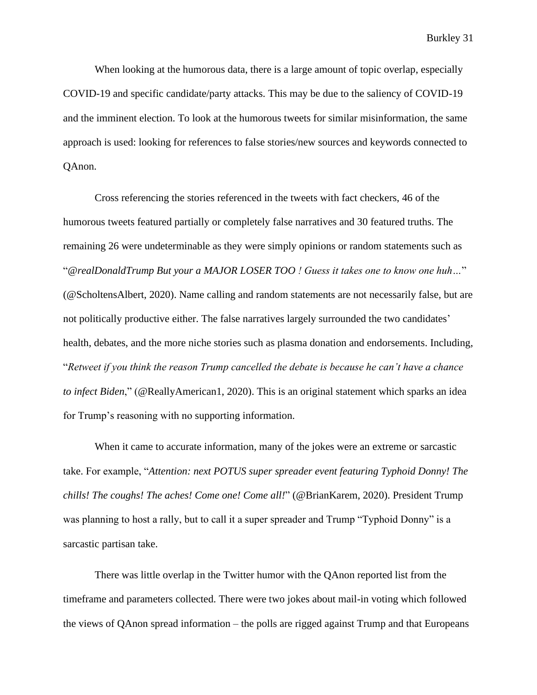When looking at the humorous data, there is a large amount of topic overlap, especially COVID-19 and specific candidate/party attacks. This may be due to the saliency of COVID-19 and the imminent election. To look at the humorous tweets for similar misinformation, the same approach is used: looking for references to false stories/new sources and keywords connected to QAnon.

Cross referencing the stories referenced in the tweets with fact checkers, 46 of the humorous tweets featured partially or completely false narratives and 30 featured truths. The remaining 26 were undeterminable as they were simply opinions or random statements such as "*@realDonaldTrump But your a MAJOR LOSER TOO ! Guess it takes one to know one huh…*" (@ScholtensAlbert, 2020). Name calling and random statements are not necessarily false, but are not politically productive either. The false narratives largely surrounded the two candidates' health, debates, and the more niche stories such as plasma donation and endorsements. Including, "*Retweet if you think the reason Trump cancelled the debate is because he can't have a chance to infect Biden*," (@ReallyAmerican1, 2020). This is an original statement which sparks an idea for Trump's reasoning with no supporting information.

When it came to accurate information, many of the jokes were an extreme or sarcastic take. For example, "*Attention: next POTUS super spreader event featuring Typhoid Donny! The chills! The coughs! The aches! Come one! Come all!*" (@BrianKarem, 2020). President Trump was planning to host a rally, but to call it a super spreader and Trump "Typhoid Donny" is a sarcastic partisan take.

There was little overlap in the Twitter humor with the QAnon reported list from the timeframe and parameters collected. There were two jokes about mail-in voting which followed the views of QAnon spread information – the polls are rigged against Trump and that Europeans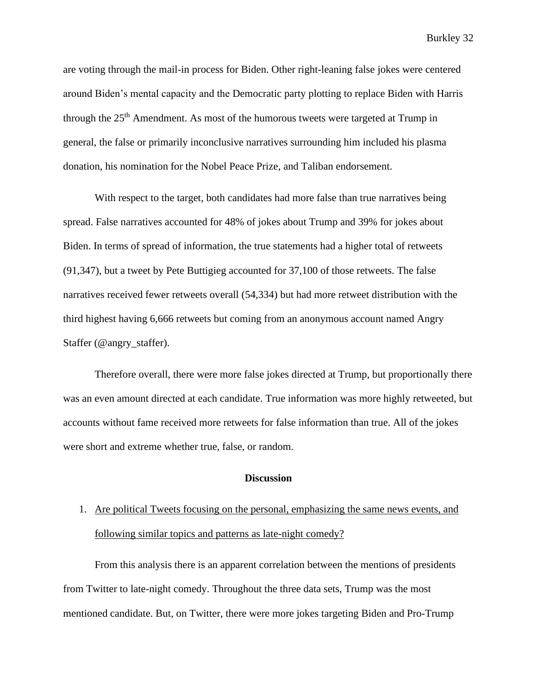are voting through the mail-in process for Biden. Other right-leaning false jokes were centered around Biden's mental capacity and the Democratic party plotting to replace Biden with Harris through the 25th Amendment. As most of the humorous tweets were targeted at Trump in general, the false or primarily inconclusive narratives surrounding him included his plasma donation, his nomination for the Nobel Peace Prize, and Taliban endorsement.

With respect to the target, both candidates had more false than true narratives being spread. False narratives accounted for 48% of jokes about Trump and 39% for jokes about Biden. In terms of spread of information, the true statements had a higher total of retweets (91,347), but a tweet by Pete Buttigieg accounted for 37,100 of those retweets. The false narratives received fewer retweets overall (54,334) but had more retweet distribution with the third highest having 6,666 retweets but coming from an anonymous account named Angry Staffer (@angry\_staffer).

Therefore overall, there were more false jokes directed at Trump, but proportionally there was an even amount directed at each candidate. True information was more highly retweeted, but accounts without fame received more retweets for false information than true. All of the jokes were short and extreme whether true, false, or random.

#### **Discussion**

# 1. Are political Tweets focusing on the personal, emphasizing the same news events, and following similar topics and patterns as late-night comedy?

From this analysis there is an apparent correlation between the mentions of presidents from Twitter to late-night comedy. Throughout the three data sets, Trump was the most mentioned candidate. But, on Twitter, there were more jokes targeting Biden and Pro-Trump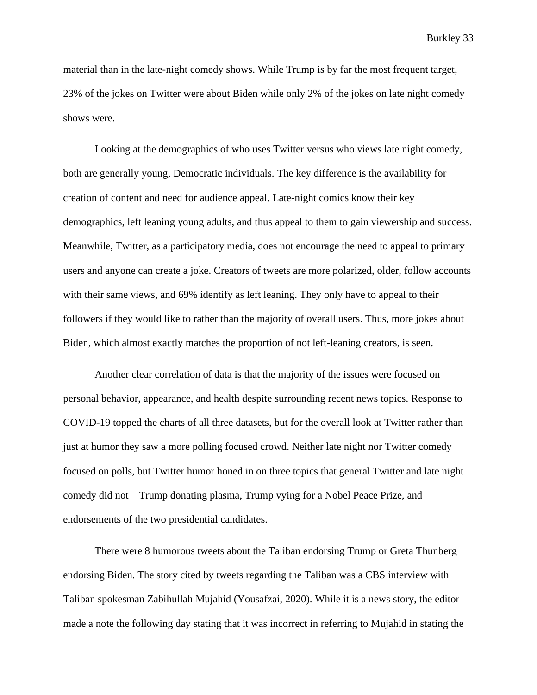material than in the late-night comedy shows. While Trump is by far the most frequent target, 23% of the jokes on Twitter were about Biden while only 2% of the jokes on late night comedy shows were.

Looking at the demographics of who uses Twitter versus who views late night comedy, both are generally young, Democratic individuals. The key difference is the availability for creation of content and need for audience appeal. Late-night comics know their key demographics, left leaning young adults, and thus appeal to them to gain viewership and success. Meanwhile, Twitter, as a participatory media, does not encourage the need to appeal to primary users and anyone can create a joke. Creators of tweets are more polarized, older, follow accounts with their same views, and 69% identify as left leaning. They only have to appeal to their followers if they would like to rather than the majority of overall users. Thus, more jokes about Biden, which almost exactly matches the proportion of not left-leaning creators, is seen.

Another clear correlation of data is that the majority of the issues were focused on personal behavior, appearance, and health despite surrounding recent news topics. Response to COVID-19 topped the charts of all three datasets, but for the overall look at Twitter rather than just at humor they saw a more polling focused crowd. Neither late night nor Twitter comedy focused on polls, but Twitter humor honed in on three topics that general Twitter and late night comedy did not – Trump donating plasma, Trump vying for a Nobel Peace Prize, and endorsements of the two presidential candidates.

There were 8 humorous tweets about the Taliban endorsing Trump or Greta Thunberg endorsing Biden. The story cited by tweets regarding the Taliban was a CBS interview with Taliban spokesman Zabihullah Mujahid (Yousafzai, 2020). While it is a news story, the editor made a note the following day stating that it was incorrect in referring to Mujahid in stating the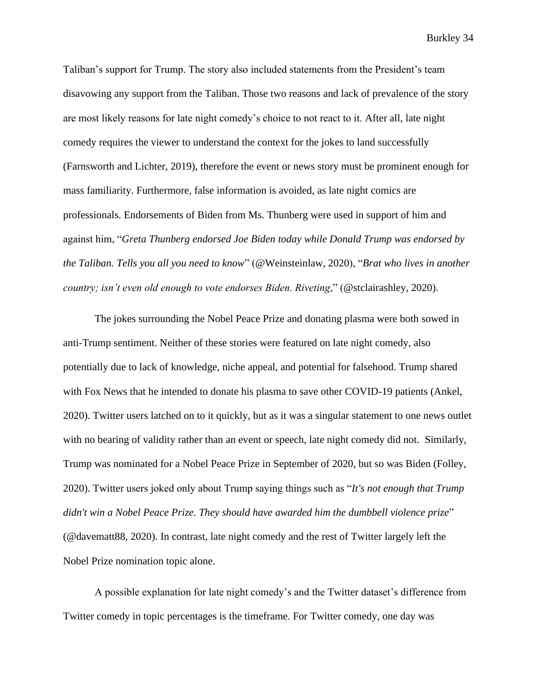Taliban's support for Trump. The story also included statements from the President's team disavowing any support from the Taliban. Those two reasons and lack of prevalence of the story are most likely reasons for late night comedy's choice to not react to it. After all, late night comedy requires the viewer to understand the context for the jokes to land successfully (Farnsworth and Lichter, 2019), therefore the event or news story must be prominent enough for mass familiarity. Furthermore, false information is avoided, as late night comics are professionals. Endorsements of Biden from Ms. Thunberg were used in support of him and against him, "*Greta Thunberg endorsed Joe Biden today while Donald Trump was endorsed by the Taliban. Tells you all you need to know*" (@Weinsteinlaw, 2020), "*Brat who lives in another country; isn't even old enough to vote endorses Biden. Riveting*," (@stclairashley, 2020).

The jokes surrounding the Nobel Peace Prize and donating plasma were both sowed in anti-Trump sentiment. Neither of these stories were featured on late night comedy, also potentially due to lack of knowledge, niche appeal, and potential for falsehood. Trump shared with Fox News that he intended to donate his plasma to save other COVID-19 patients (Ankel, 2020). Twitter users latched on to it quickly, but as it was a singular statement to one news outlet with no bearing of validity rather than an event or speech, late night comedy did not. Similarly, Trump was nominated for a Nobel Peace Prize in September of 2020, but so was Biden (Folley, 2020). Twitter users joked only about Trump saying things such as "*It's not enough that Trump didn't win a Nobel Peace Prize. They should have awarded him the dumbbell violence prize*" (@davematt88, 2020). In contrast, late night comedy and the rest of Twitter largely left the Nobel Prize nomination topic alone.

A possible explanation for late night comedy's and the Twitter dataset's difference from Twitter comedy in topic percentages is the timeframe. For Twitter comedy, one day was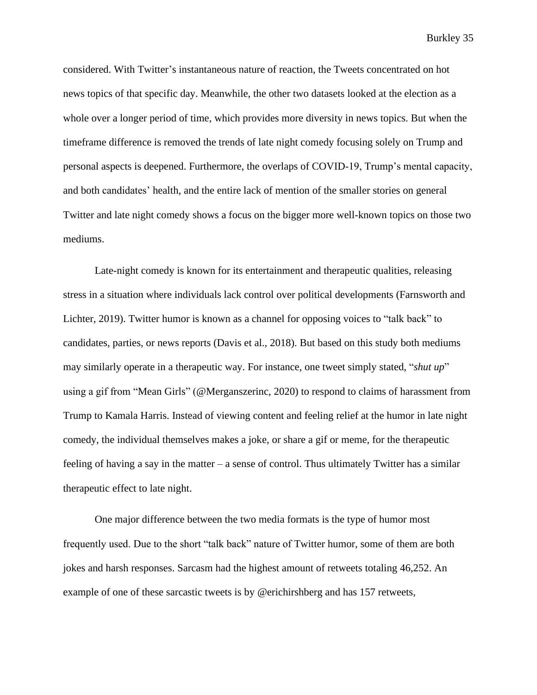considered. With Twitter's instantaneous nature of reaction, the Tweets concentrated on hot news topics of that specific day. Meanwhile, the other two datasets looked at the election as a whole over a longer period of time, which provides more diversity in news topics. But when the timeframe difference is removed the trends of late night comedy focusing solely on Trump and personal aspects is deepened. Furthermore, the overlaps of COVID-19, Trump's mental capacity, and both candidates' health, and the entire lack of mention of the smaller stories on general Twitter and late night comedy shows a focus on the bigger more well-known topics on those two mediums.

Late-night comedy is known for its entertainment and therapeutic qualities, releasing stress in a situation where individuals lack control over political developments (Farnsworth and Lichter, 2019). Twitter humor is known as a channel for opposing voices to "talk back" to candidates, parties, or news reports (Davis et al., 2018). But based on this study both mediums may similarly operate in a therapeutic way. For instance, one tweet simply stated, "*shut up*" using a gif from "Mean Girls" (@Merganszerinc, 2020) to respond to claims of harassment from Trump to Kamala Harris. Instead of viewing content and feeling relief at the humor in late night comedy, the individual themselves makes a joke, or share a gif or meme, for the therapeutic feeling of having a say in the matter – a sense of control. Thus ultimately Twitter has a similar therapeutic effect to late night.

One major difference between the two media formats is the type of humor most frequently used. Due to the short "talk back" nature of Twitter humor, some of them are both jokes and harsh responses. Sarcasm had the highest amount of retweets totaling 46,252. An example of one of these sarcastic tweets is by @erichirshberg and has 157 retweets,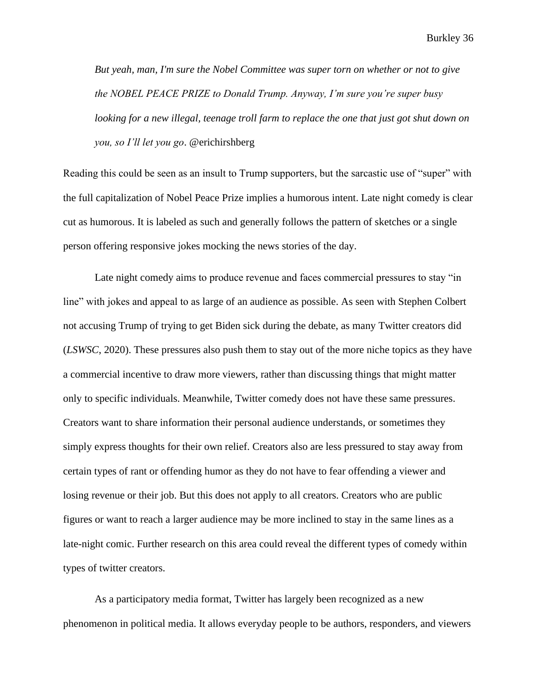*But yeah, man, I'm sure the Nobel Committee was super torn on whether or not to give the NOBEL PEACE PRIZE to Donald Trump. Anyway, I'm sure you're super busy looking for a new illegal, teenage troll farm to replace the one that just got shut down on you, so I'll let you go*. @erichirshberg

Reading this could be seen as an insult to Trump supporters, but the sarcastic use of "super" with the full capitalization of Nobel Peace Prize implies a humorous intent. Late night comedy is clear cut as humorous. It is labeled as such and generally follows the pattern of sketches or a single person offering responsive jokes mocking the news stories of the day.

Late night comedy aims to produce revenue and faces commercial pressures to stay "in line" with jokes and appeal to as large of an audience as possible. As seen with Stephen Colbert not accusing Trump of trying to get Biden sick during the debate, as many Twitter creators did (*LSWSC*, 2020). These pressures also push them to stay out of the more niche topics as they have a commercial incentive to draw more viewers, rather than discussing things that might matter only to specific individuals. Meanwhile, Twitter comedy does not have these same pressures. Creators want to share information their personal audience understands, or sometimes they simply express thoughts for their own relief. Creators also are less pressured to stay away from certain types of rant or offending humor as they do not have to fear offending a viewer and losing revenue or their job. But this does not apply to all creators. Creators who are public figures or want to reach a larger audience may be more inclined to stay in the same lines as a late-night comic. Further research on this area could reveal the different types of comedy within types of twitter creators.

As a participatory media format, Twitter has largely been recognized as a new phenomenon in political media. It allows everyday people to be authors, responders, and viewers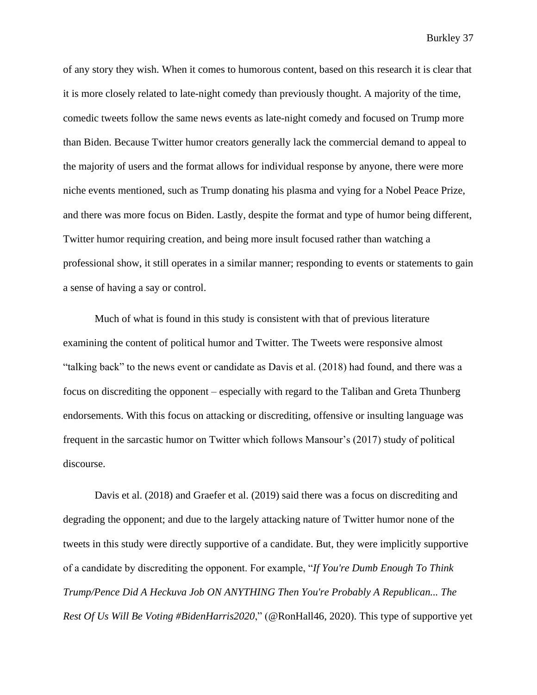of any story they wish. When it comes to humorous content, based on this research it is clear that it is more closely related to late-night comedy than previously thought. A majority of the time, comedic tweets follow the same news events as late-night comedy and focused on Trump more than Biden. Because Twitter humor creators generally lack the commercial demand to appeal to the majority of users and the format allows for individual response by anyone, there were more niche events mentioned, such as Trump donating his plasma and vying for a Nobel Peace Prize, and there was more focus on Biden. Lastly, despite the format and type of humor being different, Twitter humor requiring creation, and being more insult focused rather than watching a professional show, it still operates in a similar manner; responding to events or statements to gain a sense of having a say or control.

Much of what is found in this study is consistent with that of previous literature examining the content of political humor and Twitter. The Tweets were responsive almost "talking back" to the news event or candidate as Davis et al. (2018) had found, and there was a focus on discrediting the opponent – especially with regard to the Taliban and Greta Thunberg endorsements. With this focus on attacking or discrediting, offensive or insulting language was frequent in the sarcastic humor on Twitter which follows Mansour's (2017) study of political discourse.

Davis et al. (2018) and Graefer et al. (2019) said there was a focus on discrediting and degrading the opponent; and due to the largely attacking nature of Twitter humor none of the tweets in this study were directly supportive of a candidate. But, they were implicitly supportive of a candidate by discrediting the opponent. For example, "*If You're Dumb Enough To Think Trump/Pence Did A Heckuva Job ON ANYTHING Then You're Probably A Republican... The Rest Of Us Will Be Voting #BidenHarris2020*," (@RonHall46, 2020). This type of supportive yet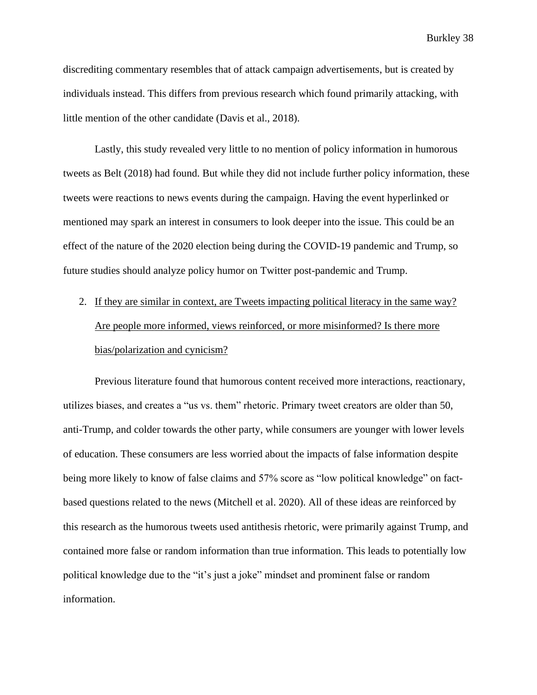discrediting commentary resembles that of attack campaign advertisements, but is created by individuals instead. This differs from previous research which found primarily attacking, with little mention of the other candidate (Davis et al., 2018).

Lastly, this study revealed very little to no mention of policy information in humorous tweets as Belt (2018) had found. But while they did not include further policy information, these tweets were reactions to news events during the campaign. Having the event hyperlinked or mentioned may spark an interest in consumers to look deeper into the issue. This could be an effect of the nature of the 2020 election being during the COVID-19 pandemic and Trump, so future studies should analyze policy humor on Twitter post-pandemic and Trump.

2. If they are similar in context, are Tweets impacting political literacy in the same way? Are people more informed, views reinforced, or more misinformed? Is there more bias/polarization and cynicism?

Previous literature found that humorous content received more interactions, reactionary, utilizes biases, and creates a "us vs. them" rhetoric. Primary tweet creators are older than 50, anti-Trump, and colder towards the other party, while consumers are younger with lower levels of education. These consumers are less worried about the impacts of false information despite being more likely to know of false claims and 57% score as "low political knowledge" on factbased questions related to the news (Mitchell et al. 2020). All of these ideas are reinforced by this research as the humorous tweets used antithesis rhetoric, were primarily against Trump, and contained more false or random information than true information. This leads to potentially low political knowledge due to the "it's just a joke" mindset and prominent false or random information.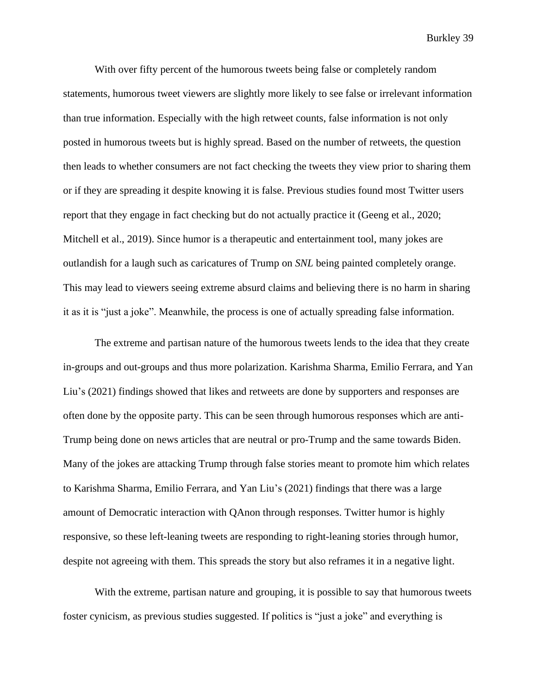With over fifty percent of the humorous tweets being false or completely random statements, humorous tweet viewers are slightly more likely to see false or irrelevant information than true information. Especially with the high retweet counts, false information is not only posted in humorous tweets but is highly spread. Based on the number of retweets, the question then leads to whether consumers are not fact checking the tweets they view prior to sharing them or if they are spreading it despite knowing it is false. Previous studies found most Twitter users report that they engage in fact checking but do not actually practice it (Geeng et al., 2020; Mitchell et al., 2019). Since humor is a therapeutic and entertainment tool, many jokes are outlandish for a laugh such as caricatures of Trump on *SNL* being painted completely orange. This may lead to viewers seeing extreme absurd claims and believing there is no harm in sharing it as it is "just a joke". Meanwhile, the process is one of actually spreading false information.

The extreme and partisan nature of the humorous tweets lends to the idea that they create in-groups and out-groups and thus more polarization. Karishma Sharma, Emilio Ferrara, and Yan Liu's (2021) findings showed that likes and retweets are done by supporters and responses are often done by the opposite party. This can be seen through humorous responses which are anti-Trump being done on news articles that are neutral or pro-Trump and the same towards Biden. Many of the jokes are attacking Trump through false stories meant to promote him which relates to Karishma Sharma, Emilio Ferrara, and Yan Liu's (2021) findings that there was a large amount of Democratic interaction with QAnon through responses. Twitter humor is highly responsive, so these left-leaning tweets are responding to right-leaning stories through humor, despite not agreeing with them. This spreads the story but also reframes it in a negative light.

With the extreme, partisan nature and grouping, it is possible to say that humorous tweets foster cynicism, as previous studies suggested. If politics is "just a joke" and everything is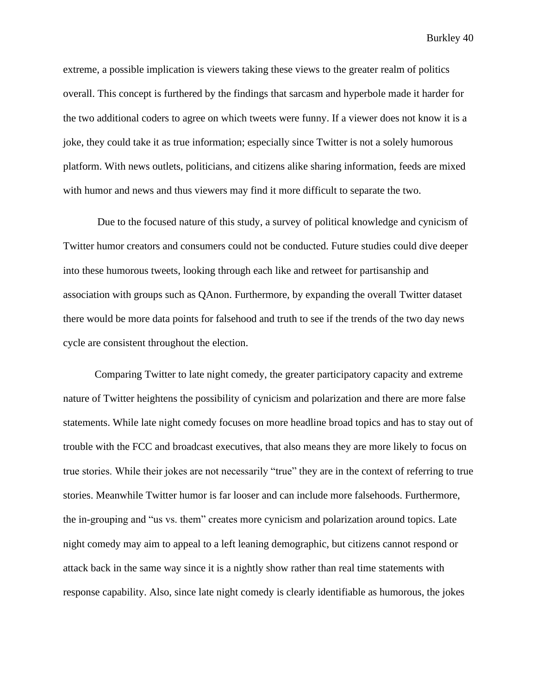extreme, a possible implication is viewers taking these views to the greater realm of politics overall. This concept is furthered by the findings that sarcasm and hyperbole made it harder for the two additional coders to agree on which tweets were funny. If a viewer does not know it is a joke, they could take it as true information; especially since Twitter is not a solely humorous platform. With news outlets, politicians, and citizens alike sharing information, feeds are mixed with humor and news and thus viewers may find it more difficult to separate the two.

Due to the focused nature of this study, a survey of political knowledge and cynicism of Twitter humor creators and consumers could not be conducted. Future studies could dive deeper into these humorous tweets, looking through each like and retweet for partisanship and association with groups such as QAnon. Furthermore, by expanding the overall Twitter dataset there would be more data points for falsehood and truth to see if the trends of the two day news cycle are consistent throughout the election.

Comparing Twitter to late night comedy, the greater participatory capacity and extreme nature of Twitter heightens the possibility of cynicism and polarization and there are more false statements. While late night comedy focuses on more headline broad topics and has to stay out of trouble with the FCC and broadcast executives, that also means they are more likely to focus on true stories. While their jokes are not necessarily "true" they are in the context of referring to true stories. Meanwhile Twitter humor is far looser and can include more falsehoods. Furthermore, the in-grouping and "us vs. them" creates more cynicism and polarization around topics. Late night comedy may aim to appeal to a left leaning demographic, but citizens cannot respond or attack back in the same way since it is a nightly show rather than real time statements with response capability. Also, since late night comedy is clearly identifiable as humorous, the jokes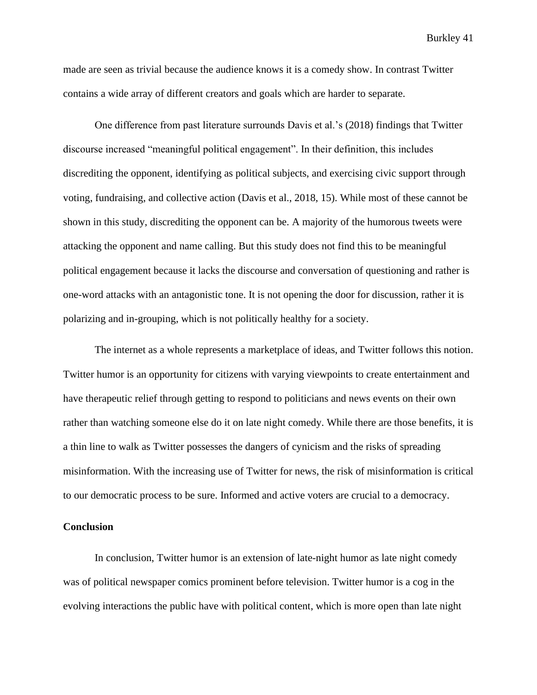made are seen as trivial because the audience knows it is a comedy show. In contrast Twitter contains a wide array of different creators and goals which are harder to separate.

One difference from past literature surrounds Davis et al.'s (2018) findings that Twitter discourse increased "meaningful political engagement". In their definition, this includes discrediting the opponent, identifying as political subjects, and exercising civic support through voting, fundraising, and collective action (Davis et al., 2018, 15). While most of these cannot be shown in this study, discrediting the opponent can be. A majority of the humorous tweets were attacking the opponent and name calling. But this study does not find this to be meaningful political engagement because it lacks the discourse and conversation of questioning and rather is one-word attacks with an antagonistic tone. It is not opening the door for discussion, rather it is polarizing and in-grouping, which is not politically healthy for a society.

The internet as a whole represents a marketplace of ideas, and Twitter follows this notion. Twitter humor is an opportunity for citizens with varying viewpoints to create entertainment and have therapeutic relief through getting to respond to politicians and news events on their own rather than watching someone else do it on late night comedy. While there are those benefits, it is a thin line to walk as Twitter possesses the dangers of cynicism and the risks of spreading misinformation. With the increasing use of Twitter for news, the risk of misinformation is critical to our democratic process to be sure. Informed and active voters are crucial to a democracy.

#### **Conclusion**

In conclusion, Twitter humor is an extension of late-night humor as late night comedy was of political newspaper comics prominent before television. Twitter humor is a cog in the evolving interactions the public have with political content, which is more open than late night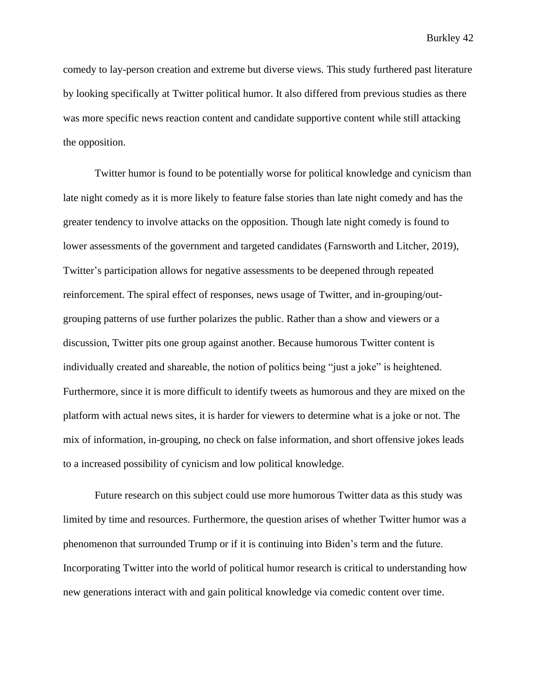comedy to lay-person creation and extreme but diverse views. This study furthered past literature by looking specifically at Twitter political humor. It also differed from previous studies as there was more specific news reaction content and candidate supportive content while still attacking the opposition.

Twitter humor is found to be potentially worse for political knowledge and cynicism than late night comedy as it is more likely to feature false stories than late night comedy and has the greater tendency to involve attacks on the opposition. Though late night comedy is found to lower assessments of the government and targeted candidates (Farnsworth and Litcher, 2019), Twitter's participation allows for negative assessments to be deepened through repeated reinforcement. The spiral effect of responses, news usage of Twitter, and in-grouping/outgrouping patterns of use further polarizes the public. Rather than a show and viewers or a discussion, Twitter pits one group against another. Because humorous Twitter content is individually created and shareable, the notion of politics being "just a joke" is heightened. Furthermore, since it is more difficult to identify tweets as humorous and they are mixed on the platform with actual news sites, it is harder for viewers to determine what is a joke or not. The mix of information, in-grouping, no check on false information, and short offensive jokes leads to a increased possibility of cynicism and low political knowledge.

Future research on this subject could use more humorous Twitter data as this study was limited by time and resources. Furthermore, the question arises of whether Twitter humor was a phenomenon that surrounded Trump or if it is continuing into Biden's term and the future. Incorporating Twitter into the world of political humor research is critical to understanding how new generations interact with and gain political knowledge via comedic content over time.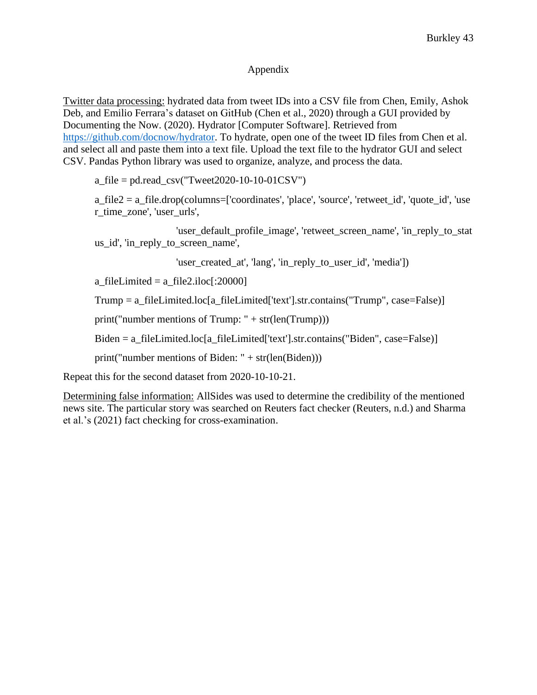### Appendix

Twitter data processing: hydrated data from tweet IDs into a CSV file from Chen, Emily, Ashok Deb, and Emilio Ferrara's dataset on GitHub (Chen et al., 2020) through a GUI provided by Documenting the Now. (2020). Hydrator [Computer Software]. Retrieved from [https://github.com/docnow/hydrator.](https://github.com/docnow/hydrator) To hydrate, open one of the tweet ID files from Chen et al. and select all and paste them into a text file. Upload the text file to the hydrator GUI and select CSV. Pandas Python library was used to organize, analyze, and process the data.

a\_file = pd.read\_csv("Tweet2020-10-10-01CSV")

a\_file2 = a\_file.drop(columns=['coordinates', 'place', 'source', 'retweet\_id', 'quote\_id', 'use r\_time\_zone', 'user\_urls',

 'user\_default\_profile\_image', 'retweet\_screen\_name', 'in\_reply\_to\_stat us\_id', 'in\_reply\_to\_screen\_name',

'user\_created\_at', 'lang', 'in\_reply\_to\_user\_id', 'media'])

a\_fileLimited =  $a$ \_file2.iloc[:20000]

Trump = a\_fileLimited.loc[a\_fileLimited['text'].str.contains("Trump", case=False)]

print("number mentions of Trump:  $" + str(len(Trump)))$ 

Biden = a\_fileLimited.loc[a\_fileLimited['text'].str.contains("Biden", case=False)]

print("number mentions of Biden: " $+ str(len(Biden)))$ 

Repeat this for the second dataset from 2020-10-10-21.

Determining false information: AllSides was used to determine the credibility of the mentioned news site. The particular story was searched on Reuters fact checker (Reuters, n.d.) and Sharma et al.'s (2021) fact checking for cross-examination.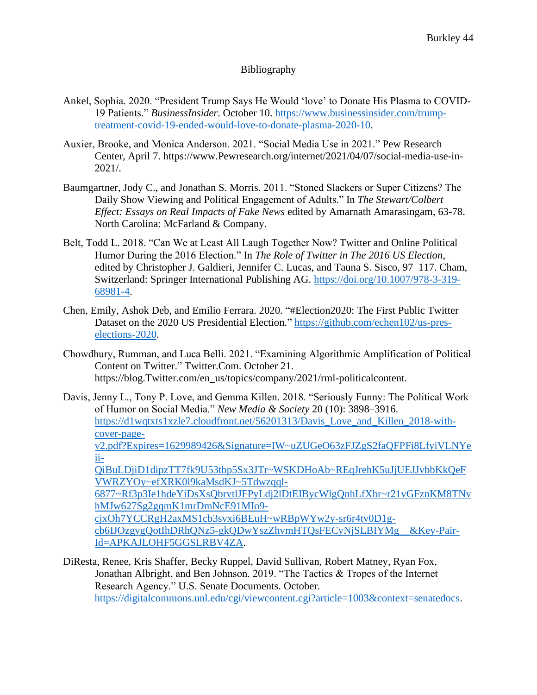## Bibliography

- Ankel, Sophia. 2020. "President Trump Says He Would 'love' to Donate His Plasma to COVID-19 Patients." *BusinessInsider*. October 10. [https://www.businessinsider.com/trump](https://www.businessinsider.com/trump-treatment-covid-19-ended-would-love-to-donate-plasma-2020-10)[treatment-covid-19-ended-would-love-to-donate-plasma-2020-10.](https://www.businessinsider.com/trump-treatment-covid-19-ended-would-love-to-donate-plasma-2020-10)
- Auxier, Brooke, and Monica Anderson. 2021. "Social Media Use in 2021." Pew Research Center, April 7. https://www.Pewresearch.org/internet/2021/04/07/social-media-use-in-2021/.
- Baumgartner, Jody C., and Jonathan S. Morris. 2011. "Stoned Slackers or Super Citizens? The Daily Show Viewing and Political Engagement of Adults." In *The Stewart/Colbert Effect: Essays on Real Impacts of Fake News* edited by Amarnath Amarasingam, 63-78. North Carolina: McFarland & Company.
- Belt, Todd L. 2018. "Can We at Least All Laugh Together Now? Twitter and Online Political Humor During the 2016 Election." In *The Role of Twitter in The 2016 US Election*, edited by Christopher J. Galdieri, Jennifer C. Lucas, and Tauna S. Sisco, 97–117. Cham, Switzerland: Springer International Publishing AG. [https://doi.org/10.1007/978-3-319-](https://doi.org/10.1007/978-3-319-68981-4) [68981-4.](https://doi.org/10.1007/978-3-319-68981-4)
- Chen, Emily, Ashok Deb, and Emilio Ferrara. 2020. "#Election2020: The First Public Twitter Dataset on the 2020 US Presidential Election." [https://github.com/echen102/us-pres](https://github.com/echen102/us-pres-elections-2020)[elections-2020.](https://github.com/echen102/us-pres-elections-2020)
- Chowdhury, Rumman, and Luca Belli. 2021. "Examining Algorithmic Amplification of Political Content on Twitter." Twitter.Com. October 21. https://blog.Twitter.com/en\_us/topics/company/2021/rml-politicalcontent.
- Davis, Jenny L., Tony P. Love, and Gemma Killen. 2018. "Seriously Funny: The Political Work of Humor on Social Media." *New Media & Society* 20 (10): 3898–3916. [https://d1wqtxts1xzle7.cloudfront.net/56201313/Davis\\_Love\\_and\\_Killen\\_2018-with](https://d1wqtxts1xzle7.cloudfront.net/56201313/Davis_Love_and_Killen_2018-with-cover-page-v2.pdf?Expires=1629989426&Signature=IW~uZUGeO63zFJZgS2faQFPFi8LfyiVLNYeii-QiBuLDjiD1dipzTT7fk9U53tbp5Sx3JTr~WSKDHoAb~REqJrehK5uJjUEJJvbbKkQeFVWRZYOy~efXRK0l9kaMsdKJ~5Tdwzqql-6877~Rf3p3Ie1hdeYiDsXsQbrvtlJFPyLdj2lDtEIBycWlgQnhLfXbr~r21vGFznKM8TNvhMJw627Sg2gqmK1mrDmNcE91MIo9-cjxOh7YCCRgH2axMS1cb3svxi6BEuH~wRBpWYw2y-sr6r4tv0D1g-cb6IJOzgvgQotIhDRhQNz5-gkQDwYszZhvmHTQsFECyNjSLBIYMg__&Key-Pair-Id=APKAJLOHF5GGSLRBV4ZA)[cover-page](https://d1wqtxts1xzle7.cloudfront.net/56201313/Davis_Love_and_Killen_2018-with-cover-page-v2.pdf?Expires=1629989426&Signature=IW~uZUGeO63zFJZgS2faQFPFi8LfyiVLNYeii-QiBuLDjiD1dipzTT7fk9U53tbp5Sx3JTr~WSKDHoAb~REqJrehK5uJjUEJJvbbKkQeFVWRZYOy~efXRK0l9kaMsdKJ~5Tdwzqql-6877~Rf3p3Ie1hdeYiDsXsQbrvtlJFPyLdj2lDtEIBycWlgQnhLfXbr~r21vGFznKM8TNvhMJw627Sg2gqmK1mrDmNcE91MIo9-cjxOh7YCCRgH2axMS1cb3svxi6BEuH~wRBpWYw2y-sr6r4tv0D1g-cb6IJOzgvgQotIhDRhQNz5-gkQDwYszZhvmHTQsFECyNjSLBIYMg__&Key-Pair-Id=APKAJLOHF5GGSLRBV4ZA)[v2.pdf?Expires=1629989426&Signature=IW~uZUGeO63zFJZgS2faQFPFi8LfyiVLNYe](https://d1wqtxts1xzle7.cloudfront.net/56201313/Davis_Love_and_Killen_2018-with-cover-page-v2.pdf?Expires=1629989426&Signature=IW~uZUGeO63zFJZgS2faQFPFi8LfyiVLNYeii-QiBuLDjiD1dipzTT7fk9U53tbp5Sx3JTr~WSKDHoAb~REqJrehK5uJjUEJJvbbKkQeFVWRZYOy~efXRK0l9kaMsdKJ~5Tdwzqql-6877~Rf3p3Ie1hdeYiDsXsQbrvtlJFPyLdj2lDtEIBycWlgQnhLfXbr~r21vGFznKM8TNvhMJw627Sg2gqmK1mrDmNcE91MIo9-cjxOh7YCCRgH2axMS1cb3svxi6BEuH~wRBpWYw2y-sr6r4tv0D1g-cb6IJOzgvgQotIhDRhQNz5-gkQDwYszZhvmHTQsFECyNjSLBIYMg__&Key-Pair-Id=APKAJLOHF5GGSLRBV4ZA) [ii-](https://d1wqtxts1xzle7.cloudfront.net/56201313/Davis_Love_and_Killen_2018-with-cover-page-v2.pdf?Expires=1629989426&Signature=IW~uZUGeO63zFJZgS2faQFPFi8LfyiVLNYeii-QiBuLDjiD1dipzTT7fk9U53tbp5Sx3JTr~WSKDHoAb~REqJrehK5uJjUEJJvbbKkQeFVWRZYOy~efXRK0l9kaMsdKJ~5Tdwzqql-6877~Rf3p3Ie1hdeYiDsXsQbrvtlJFPyLdj2lDtEIBycWlgQnhLfXbr~r21vGFznKM8TNvhMJw627Sg2gqmK1mrDmNcE91MIo9-cjxOh7YCCRgH2axMS1cb3svxi6BEuH~wRBpWYw2y-sr6r4tv0D1g-cb6IJOzgvgQotIhDRhQNz5-gkQDwYszZhvmHTQsFECyNjSLBIYMg__&Key-Pair-Id=APKAJLOHF5GGSLRBV4ZA)[QiBuLDjiD1dipzTT7fk9U53tbp5Sx3JTr~WSKDHoAb~REqJrehK5uJjUEJJvbbKkQeF](https://d1wqtxts1xzle7.cloudfront.net/56201313/Davis_Love_and_Killen_2018-with-cover-page-v2.pdf?Expires=1629989426&Signature=IW~uZUGeO63zFJZgS2faQFPFi8LfyiVLNYeii-QiBuLDjiD1dipzTT7fk9U53tbp5Sx3JTr~WSKDHoAb~REqJrehK5uJjUEJJvbbKkQeFVWRZYOy~efXRK0l9kaMsdKJ~5Tdwzqql-6877~Rf3p3Ie1hdeYiDsXsQbrvtlJFPyLdj2lDtEIBycWlgQnhLfXbr~r21vGFznKM8TNvhMJw627Sg2gqmK1mrDmNcE91MIo9-cjxOh7YCCRgH2axMS1cb3svxi6BEuH~wRBpWYw2y-sr6r4tv0D1g-cb6IJOzgvgQotIhDRhQNz5-gkQDwYszZhvmHTQsFECyNjSLBIYMg__&Key-Pair-Id=APKAJLOHF5GGSLRBV4ZA) [VWRZYOy~efXRK0l9kaMsdKJ~5Tdwzqql-](https://d1wqtxts1xzle7.cloudfront.net/56201313/Davis_Love_and_Killen_2018-with-cover-page-v2.pdf?Expires=1629989426&Signature=IW~uZUGeO63zFJZgS2faQFPFi8LfyiVLNYeii-QiBuLDjiD1dipzTT7fk9U53tbp5Sx3JTr~WSKDHoAb~REqJrehK5uJjUEJJvbbKkQeFVWRZYOy~efXRK0l9kaMsdKJ~5Tdwzqql-6877~Rf3p3Ie1hdeYiDsXsQbrvtlJFPyLdj2lDtEIBycWlgQnhLfXbr~r21vGFznKM8TNvhMJw627Sg2gqmK1mrDmNcE91MIo9-cjxOh7YCCRgH2axMS1cb3svxi6BEuH~wRBpWYw2y-sr6r4tv0D1g-cb6IJOzgvgQotIhDRhQNz5-gkQDwYszZhvmHTQsFECyNjSLBIYMg__&Key-Pair-Id=APKAJLOHF5GGSLRBV4ZA)[6877~Rf3p3Ie1hdeYiDsXsQbrvtlJFPyLdj2lDtEIBycWlgQnhLfXbr~r21vGFznKM8TNv](https://d1wqtxts1xzle7.cloudfront.net/56201313/Davis_Love_and_Killen_2018-with-cover-page-v2.pdf?Expires=1629989426&Signature=IW~uZUGeO63zFJZgS2faQFPFi8LfyiVLNYeii-QiBuLDjiD1dipzTT7fk9U53tbp5Sx3JTr~WSKDHoAb~REqJrehK5uJjUEJJvbbKkQeFVWRZYOy~efXRK0l9kaMsdKJ~5Tdwzqql-6877~Rf3p3Ie1hdeYiDsXsQbrvtlJFPyLdj2lDtEIBycWlgQnhLfXbr~r21vGFznKM8TNvhMJw627Sg2gqmK1mrDmNcE91MIo9-cjxOh7YCCRgH2axMS1cb3svxi6BEuH~wRBpWYw2y-sr6r4tv0D1g-cb6IJOzgvgQotIhDRhQNz5-gkQDwYszZhvmHTQsFECyNjSLBIYMg__&Key-Pair-Id=APKAJLOHF5GGSLRBV4ZA)

[hMJw627Sg2gqmK1mrDmNcE91MIo9](https://d1wqtxts1xzle7.cloudfront.net/56201313/Davis_Love_and_Killen_2018-with-cover-page-v2.pdf?Expires=1629989426&Signature=IW~uZUGeO63zFJZgS2faQFPFi8LfyiVLNYeii-QiBuLDjiD1dipzTT7fk9U53tbp5Sx3JTr~WSKDHoAb~REqJrehK5uJjUEJJvbbKkQeFVWRZYOy~efXRK0l9kaMsdKJ~5Tdwzqql-6877~Rf3p3Ie1hdeYiDsXsQbrvtlJFPyLdj2lDtEIBycWlgQnhLfXbr~r21vGFznKM8TNvhMJw627Sg2gqmK1mrDmNcE91MIo9-cjxOh7YCCRgH2axMS1cb3svxi6BEuH~wRBpWYw2y-sr6r4tv0D1g-cb6IJOzgvgQotIhDRhQNz5-gkQDwYszZhvmHTQsFECyNjSLBIYMg__&Key-Pair-Id=APKAJLOHF5GGSLRBV4ZA) [cjxOh7YCCRgH2axMS1cb3svxi6BEuH~wRBpWYw2y-sr6r4tv0D1g-](https://d1wqtxts1xzle7.cloudfront.net/56201313/Davis_Love_and_Killen_2018-with-cover-page-v2.pdf?Expires=1629989426&Signature=IW~uZUGeO63zFJZgS2faQFPFi8LfyiVLNYeii-QiBuLDjiD1dipzTT7fk9U53tbp5Sx3JTr~WSKDHoAb~REqJrehK5uJjUEJJvbbKkQeFVWRZYOy~efXRK0l9kaMsdKJ~5Tdwzqql-6877~Rf3p3Ie1hdeYiDsXsQbrvtlJFPyLdj2lDtEIBycWlgQnhLfXbr~r21vGFznKM8TNvhMJw627Sg2gqmK1mrDmNcE91MIo9-cjxOh7YCCRgH2axMS1cb3svxi6BEuH~wRBpWYw2y-sr6r4tv0D1g-cb6IJOzgvgQotIhDRhQNz5-gkQDwYszZhvmHTQsFECyNjSLBIYMg__&Key-Pair-Id=APKAJLOHF5GGSLRBV4ZA)

[cb6IJOzgvgQotIhDRhQNz5-gkQDwYszZhvmHTQsFECyNjSLBIYMg\\_\\_&Key-Pair-](https://d1wqtxts1xzle7.cloudfront.net/56201313/Davis_Love_and_Killen_2018-with-cover-page-v2.pdf?Expires=1629989426&Signature=IW~uZUGeO63zFJZgS2faQFPFi8LfyiVLNYeii-QiBuLDjiD1dipzTT7fk9U53tbp5Sx3JTr~WSKDHoAb~REqJrehK5uJjUEJJvbbKkQeFVWRZYOy~efXRK0l9kaMsdKJ~5Tdwzqql-6877~Rf3p3Ie1hdeYiDsXsQbrvtlJFPyLdj2lDtEIBycWlgQnhLfXbr~r21vGFznKM8TNvhMJw627Sg2gqmK1mrDmNcE91MIo9-cjxOh7YCCRgH2axMS1cb3svxi6BEuH~wRBpWYw2y-sr6r4tv0D1g-cb6IJOzgvgQotIhDRhQNz5-gkQDwYszZhvmHTQsFECyNjSLBIYMg__&Key-Pair-Id=APKAJLOHF5GGSLRBV4ZA)[Id=APKAJLOHF5GGSLRBV4ZA.](https://d1wqtxts1xzle7.cloudfront.net/56201313/Davis_Love_and_Killen_2018-with-cover-page-v2.pdf?Expires=1629989426&Signature=IW~uZUGeO63zFJZgS2faQFPFi8LfyiVLNYeii-QiBuLDjiD1dipzTT7fk9U53tbp5Sx3JTr~WSKDHoAb~REqJrehK5uJjUEJJvbbKkQeFVWRZYOy~efXRK0l9kaMsdKJ~5Tdwzqql-6877~Rf3p3Ie1hdeYiDsXsQbrvtlJFPyLdj2lDtEIBycWlgQnhLfXbr~r21vGFznKM8TNvhMJw627Sg2gqmK1mrDmNcE91MIo9-cjxOh7YCCRgH2axMS1cb3svxi6BEuH~wRBpWYw2y-sr6r4tv0D1g-cb6IJOzgvgQotIhDRhQNz5-gkQDwYszZhvmHTQsFECyNjSLBIYMg__&Key-Pair-Id=APKAJLOHF5GGSLRBV4ZA)

DiResta, Renee, Kris Shaffer, Becky Ruppel, David Sullivan, Robert Matney, Ryan Fox, Jonathan Albright, and Ben Johnson. 2019. "The Tactics & Tropes of the Internet Research Agency." U.S. Senate Documents. October. [https://digitalcommons.unl.edu/cgi/viewcontent.cgi?article=1003&context=senatedocs.](https://digitalcommons.unl.edu/cgi/viewcontent.cgi?article=1003&context=senatedocs)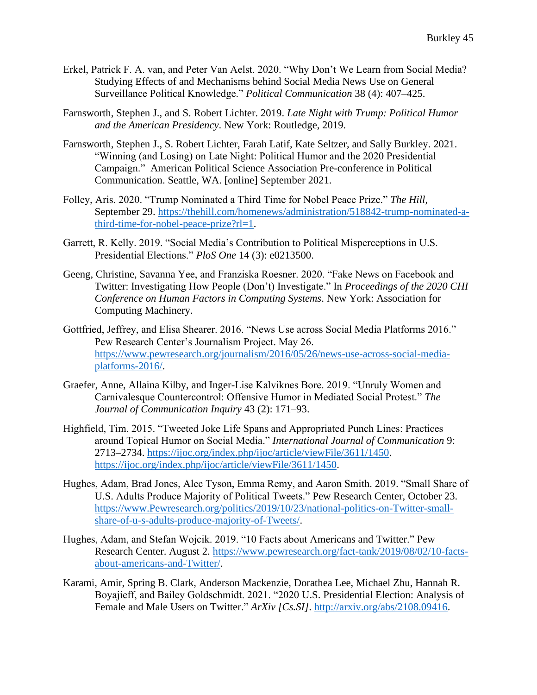- Erkel, Patrick F. A. van, and Peter Van Aelst. 2020. "Why Don't We Learn from Social Media? Studying Effects of and Mechanisms behind Social Media News Use on General Surveillance Political Knowledge." *Political Communication* 38 (4): 407–425.
- Farnsworth, Stephen J., and S. Robert Lichter. 2019. *Late Night with Trump: Political Humor and the American Presidency*. New York: Routledge, 2019.
- Farnsworth, Stephen J., S. Robert Lichter, Farah Latif, Kate Seltzer, and Sally Burkley. 2021. "Winning (and Losing) on Late Night: Political Humor and the 2020 Presidential Campaign." American Political Science Association Pre-conference in Political Communication. Seattle, WA. [online] September 2021.
- Folley, Aris. 2020. "Trump Nominated a Third Time for Nobel Peace Prize." *The Hill*, September 29. [https://thehill.com/homenews/administration/518842-trump-nominated-a](https://thehill.com/homenews/administration/518842-trump-nominated-a-third-time-for-nobel-peace-prize?rl=1)[third-time-for-nobel-peace-prize?rl=1.](https://thehill.com/homenews/administration/518842-trump-nominated-a-third-time-for-nobel-peace-prize?rl=1)
- Garrett, R. Kelly. 2019. "Social Media's Contribution to Political Misperceptions in U.S. Presidential Elections." *PloS One* 14 (3): e0213500.
- Geeng, Christine, Savanna Yee, and Franziska Roesner. 2020. "Fake News on Facebook and Twitter: Investigating How People (Don't) Investigate." In *Proceedings of the 2020 CHI Conference on Human Factors in Computing Systems*. New York: Association for Computing Machinery.
- Gottfried, Jeffrey, and Elisa Shearer. 2016. "News Use across Social Media Platforms 2016." Pew Research Center's Journalism Project. May 26. [https://www.pewresearch.org/journalism/2016/05/26/news-use-across-social-media](https://www.pewresearch.org/journalism/2016/05/26/news-use-across-social-media-platforms-2016/)[platforms-2016/.](https://www.pewresearch.org/journalism/2016/05/26/news-use-across-social-media-platforms-2016/)
- Graefer, Anne, Allaina Kilby, and Inger-Lise Kalviknes Bore. 2019. "Unruly Women and Carnivalesque Countercontrol: Offensive Humor in Mediated Social Protest." *The Journal of Communication Inquiry* 43 (2): 171–93.
- Highfield, Tim. 2015. "Tweeted Joke Life Spans and Appropriated Punch Lines: Practices around Topical Humor on Social Media." *International Journal of Communication* 9: 2713–2734. [https://ijoc.org/index.php/ijoc/article/viewFile/3611/1450.](https://ijoc.org/index.php/ijoc/article/viewFile/3611/1450) [https://ijoc.org/index.php/ijoc/article/viewFile/3611/1450.](https://ijoc.org/index.php/ijoc/article/viewFile/3611/1450)
- Hughes, Adam, Brad Jones, Alec Tyson, Emma Remy, and Aaron Smith. 2019. "Small Share of U.S. Adults Produce Majority of Political Tweets." Pew Research Center, October 23. [https://www.Pewresearch.org/politics/2019/10/23/national-politics-on-Twitter-small](https://www.pewresearch.org/politics/2019/10/23/national-politics-on-Twitter-small-share-of-u-s-adults-produce-majority-of-Tweets/)[share-of-u-s-adults-produce-majority-of-Tweets/.](https://www.pewresearch.org/politics/2019/10/23/national-politics-on-Twitter-small-share-of-u-s-adults-produce-majority-of-Tweets/)
- Hughes, Adam, and Stefan Wojcik. 2019. "10 Facts about Americans and Twitter." Pew Research Center. August 2. [https://www.pewresearch.org/fact-tank/2019/08/02/10-facts](https://www.pewresearch.org/fact-tank/2019/08/02/10-facts-about-americans-and-twitter/)[about-americans-and-Twitter/.](https://www.pewresearch.org/fact-tank/2019/08/02/10-facts-about-americans-and-twitter/)
- Karami, Amir, Spring B. Clark, Anderson Mackenzie, Dorathea Lee, Michael Zhu, Hannah R. Boyajieff, and Bailey Goldschmidt. 2021. "2020 U.S. Presidential Election: Analysis of Female and Male Users on Twitter." *ArXiv [Cs.SI]*. [http://arxiv.org/abs/2108.09416.](http://arxiv.org/abs/2108.09416)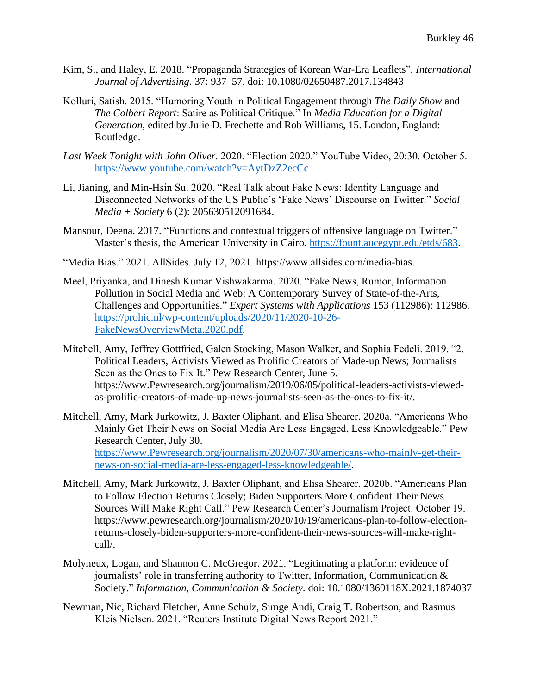- Kim, S., and Haley, E. 2018. "Propaganda Strategies of Korean War-Era Leaflets". *International Journal of Advertising.* 37: 937–57. doi: 10.1080/02650487.2017.134843
- Kolluri, Satish. 2015. "Humoring Youth in Political Engagement through *The Daily Show* and *The Colbert Report*: Satire as Political Critique." In *Media Education for a Digital Generation*, edited by Julie D. Frechette and Rob Williams, 15. London, England: Routledge.
- *Last Week Tonight with John Oliver*. 2020. "Election 2020." YouTube Video, 20:30. October 5. <https://www.youtube.com/watch?v=AytDzZ2ecCc>
- Li, Jianing, and Min-Hsin Su. 2020. "Real Talk about Fake News: Identity Language and Disconnected Networks of the US Public's 'Fake News' Discourse on Twitter." *Social Media + Society* 6 (2): 205630512091684.
- Mansour, Deena. 2017. "Functions and contextual triggers of offensive language on Twitter." Master's thesis, the American University in Cairo. [https://fount.aucegypt.edu/etds/683.](https://fount.aucegypt.edu/etds/683)
- "Media Bias." 2021. AllSides. July 12, 2021. https://www.allsides.com/media-bias.
- Meel, Priyanka, and Dinesh Kumar Vishwakarma. 2020. "Fake News, Rumor, Information Pollution in Social Media and Web: A Contemporary Survey of State-of-the-Arts, Challenges and Opportunities." *Expert Systems with Applications* 153 (112986): 112986. [https://prohic.nl/wp-content/uploads/2020/11/2020-10-26-](https://prohic.nl/wp-content/uploads/2020/11/2020-10-26-FakeNewsOverviewMeta.2020.pdf) [FakeNewsOverviewMeta.2020.pdf.](https://prohic.nl/wp-content/uploads/2020/11/2020-10-26-FakeNewsOverviewMeta.2020.pdf)
- Mitchell, Amy, Jeffrey Gottfried, Galen Stocking, Mason Walker, and Sophia Fedeli. 2019. "2. Political Leaders, Activists Viewed as Prolific Creators of Made-up News; Journalists Seen as the Ones to Fix It." Pew Research Center, June 5. https://www.Pewresearch.org/journalism/2019/06/05/political-leaders-activists-viewedas-prolific-creators-of-made-up-news-journalists-seen-as-the-ones-to-fix-it/.
- Mitchell, Amy, Mark Jurkowitz, J. Baxter Oliphant, and Elisa Shearer. 2020a. "Americans Who Mainly Get Their News on Social Media Are Less Engaged, Less Knowledgeable." Pew Research Center, July 30. [https://www.Pewresearch.org/journalism/2020/07/30/americans-who-mainly-get-their](https://www.pewresearch.org/journalism/2020/07/30/americans-who-mainly-get-their-news-on-social-media-are-less-engaged-less-knowledgeable/)[news-on-social-media-are-less-engaged-less-knowledgeable/.](https://www.pewresearch.org/journalism/2020/07/30/americans-who-mainly-get-their-news-on-social-media-are-less-engaged-less-knowledgeable/)
- Mitchell, Amy, Mark Jurkowitz, J. Baxter Oliphant, and Elisa Shearer. 2020b. "Americans Plan to Follow Election Returns Closely; Biden Supporters More Confident Their News Sources Will Make Right Call." Pew Research Center's Journalism Project. October 19. https://www.pewresearch.org/journalism/2020/10/19/americans-plan-to-follow-electionreturns-closely-biden-supporters-more-confident-their-news-sources-will-make-rightcall/.
- Molyneux, Logan, and Shannon C. McGregor. 2021. "Legitimating a platform: evidence of journalists' role in transferring authority to Twitter, Information, Communication & Society." *Information, Communication & Society*. doi: 10.1080/1369118X.2021.1874037
- Newman, Nic, Richard Fletcher, Anne Schulz, Simge Andi, Craig T. Robertson, and Rasmus Kleis Nielsen. 2021. "Reuters Institute Digital News Report 2021."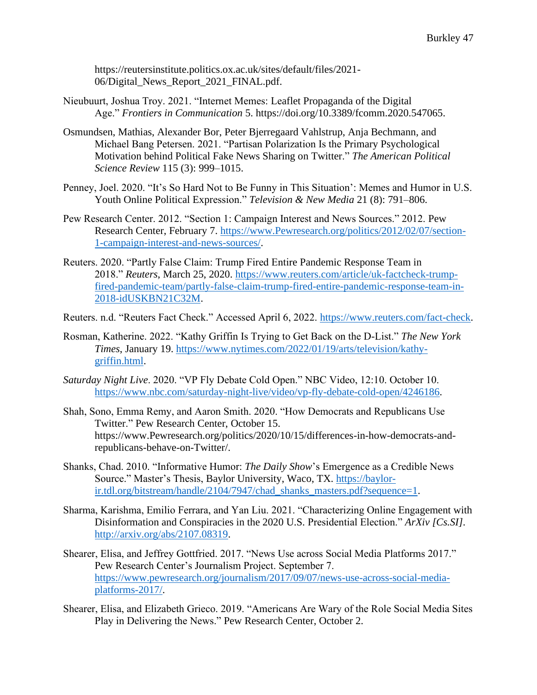https://reutersinstitute.politics.ox.ac.uk/sites/default/files/2021- 06/Digital\_News\_Report\_2021\_FINAL.pdf.

- Nieubuurt, Joshua Troy. 2021. "Internet Memes: Leaflet Propaganda of the Digital Age." *Frontiers in Communication* 5. https://doi.org/10.3389/fcomm.2020.547065.
- Osmundsen, Mathias, Alexander Bor, Peter Bjerregaard Vahlstrup, Anja Bechmann, and Michael Bang Petersen. 2021. "Partisan Polarization Is the Primary Psychological Motivation behind Political Fake News Sharing on Twitter." *The American Political Science Review* 115 (3): 999–1015.
- Penney, Joel. 2020. "It's So Hard Not to Be Funny in This Situation': Memes and Humor in U.S. Youth Online Political Expression." *Television & New Media* 21 (8): 791–806.
- Pew Research Center. 2012. "Section 1: Campaign Interest and News Sources." 2012. Pew Research Center, February 7. [https://www.Pewresearch.org/politics/2012/02/07/section-](https://www.pewresearch.org/politics/2012/02/07/section-1-campaign-interest-and-news-sources/)[1-campaign-interest-and-news-sources/.](https://www.pewresearch.org/politics/2012/02/07/section-1-campaign-interest-and-news-sources/)
- Reuters. 2020. "Partly False Claim: Trump Fired Entire Pandemic Response Team in 2018." *Reuters*, March 25, 2020. [https://www.reuters.com/article/uk-factcheck-trump](https://www.reuters.com/article/uk-factcheck-trump-fired-pandemic-team/partly-false-claim-trump-fired-entire-pandemic-response-team-in-2018-idUSKBN21C32M)[fired-pandemic-team/partly-false-claim-trump-fired-entire-pandemic-response-team-in-](https://www.reuters.com/article/uk-factcheck-trump-fired-pandemic-team/partly-false-claim-trump-fired-entire-pandemic-response-team-in-2018-idUSKBN21C32M)[2018-idUSKBN21C32M.](https://www.reuters.com/article/uk-factcheck-trump-fired-pandemic-team/partly-false-claim-trump-fired-entire-pandemic-response-team-in-2018-idUSKBN21C32M)
- Reuters. n.d. "Reuters Fact Check." Accessed April 6, 2022. [https://www.reuters.com/fact-check.](https://www.reuters.com/fact-check)
- Rosman, Katherine. 2022. "Kathy Griffin Is Trying to Get Back on the D-List." *The New York Times*, January 19. [https://www.nytimes.com/2022/01/19/arts/television/kathy](https://www.nytimes.com/2022/01/19/arts/television/kathy-griffin.html)[griffin.html.](https://www.nytimes.com/2022/01/19/arts/television/kathy-griffin.html)
- *Saturday Night Live*. 2020. "VP Fly Debate Cold Open." NBC Video, 12:10. October 10. [https://www.nbc.com/saturday-night-live/video/vp-fly-debate-cold-open/4246186.](https://www.nbc.com/saturday-night-live/video/vp-fly-debate-cold-open/4246186)
- Shah, Sono, Emma Remy, and Aaron Smith. 2020. "How Democrats and Republicans Use Twitter." Pew Research Center, October 15. https://www.Pewresearch.org/politics/2020/10/15/differences-in-how-democrats-andrepublicans-behave-on-Twitter/.
- Shanks, Chad. 2010. "Informative Humor: *The Daily Show*'s Emergence as a Credible News Source." Master's Thesis, Baylor University, Waco, TX. [https://baylor](https://baylor-ir.tdl.org/bitstream/handle/2104/7947/chad_shanks_masters.pdf?sequence=1)[ir.tdl.org/bitstream/handle/2104/7947/chad\\_shanks\\_masters.pdf?sequence=1.](https://baylor-ir.tdl.org/bitstream/handle/2104/7947/chad_shanks_masters.pdf?sequence=1)
- Sharma, Karishma, Emilio Ferrara, and Yan Liu. 2021. "Characterizing Online Engagement with Disinformation and Conspiracies in the 2020 U.S. Presidential Election." *ArXiv [Cs.SI]*. [http://arxiv.org/abs/2107.08319.](http://arxiv.org/abs/2107.08319)
- Shearer, Elisa, and Jeffrey Gottfried. 2017. "News Use across Social Media Platforms 2017." Pew Research Center's Journalism Project. September 7. [https://www.pewresearch.org/journalism/2017/09/07/news-use-across-social-media](https://www.pewresearch.org/journalism/2017/09/07/news-use-across-social-media-platforms-2017/)[platforms-2017/.](https://www.pewresearch.org/journalism/2017/09/07/news-use-across-social-media-platforms-2017/)
- Shearer, Elisa, and Elizabeth Grieco. 2019. "Americans Are Wary of the Role Social Media Sites Play in Delivering the News." Pew Research Center, October 2.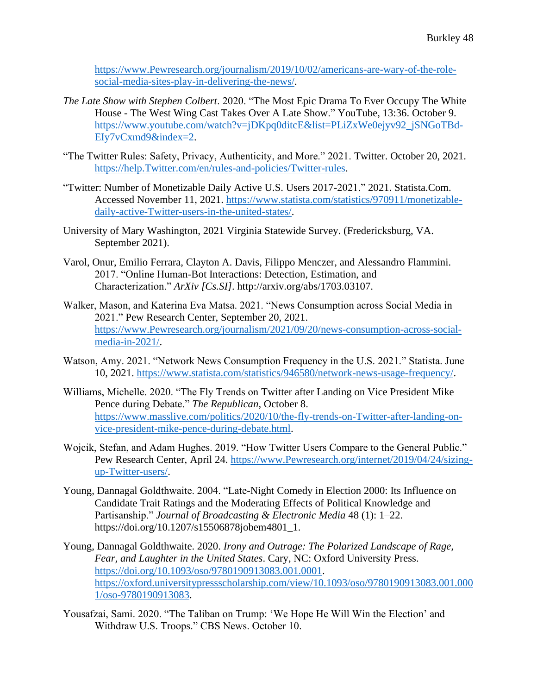[https://www.Pewresearch.org/journalism/2019/10/02/americans-are-wary-of-the-role](https://www.pewresearch.org/journalism/2019/10/02/americans-are-wary-of-the-role-social-media-sites-play-in-delivering-the-news/)[social-media-sites-play-in-delivering-the-news/.](https://www.pewresearch.org/journalism/2019/10/02/americans-are-wary-of-the-role-social-media-sites-play-in-delivering-the-news/)

- *The Late Show with Stephen Colbert*. 2020. "The Most Epic Drama To Ever Occupy The White House - The West Wing Cast Takes Over A Late Show." YouTube, 13:36. October 9. [https://www.youtube.com/watch?v=jDKpq0ditcE&list=PLiZxWe0ejyv92\\_jSNGoTBd-](https://www.youtube.com/watch?v=jDKpq0ditcE&list=PLiZxWe0ejyv92_jSNGoTBd-EIy7vCxmd9&index=2)[EIy7vCxmd9&index=2.](https://www.youtube.com/watch?v=jDKpq0ditcE&list=PLiZxWe0ejyv92_jSNGoTBd-EIy7vCxmd9&index=2)
- "The Twitter Rules: Safety, Privacy, Authenticity, and More." 2021. Twitter. October 20, 2021. [https://help.Twitter.com/en/rules-and-policies/Twitter-rules.](https://help.twitter.com/en/rules-and-policies/twitter-rules)
- "Twitter: Number of Monetizable Daily Active U.S. Users 2017-2021." 2021. Statista.Com. Accessed November 11, 2021. [https://www.statista.com/statistics/970911/monetizable](https://www.statista.com/statistics/970911/monetizable-daily-active-twitter-users-in-the-united-states/)[daily-active-Twitter-users-in-the-united-states/.](https://www.statista.com/statistics/970911/monetizable-daily-active-twitter-users-in-the-united-states/)
- University of Mary Washington, 2021 Virginia Statewide Survey. (Fredericksburg, VA. September 2021).
- Varol, Onur, Emilio Ferrara, Clayton A. Davis, Filippo Menczer, and Alessandro Flammini. 2017. "Online Human-Bot Interactions: Detection, Estimation, and Characterization." *ArXiv [Cs.SI]*. http://arxiv.org/abs/1703.03107.
- Walker, Mason, and Katerina Eva Matsa. 2021. "News Consumption across Social Media in 2021." Pew Research Center, September 20, 2021. [https://www.Pewresearch.org/journalism/2021/09/20/news-consumption-across-social](https://www.pewresearch.org/journalism/2021/09/20/news-consumption-across-social-media-in-2021/)[media-in-2021/.](https://www.pewresearch.org/journalism/2021/09/20/news-consumption-across-social-media-in-2021/)
- Watson, Amy. 2021. "Network News Consumption Frequency in the U.S. 2021." Statista. June 10, 2021. [https://www.statista.com/statistics/946580/network-news-usage-frequency/.](https://www.statista.com/statistics/946580/network-news-usage-frequency/)
- Williams, Michelle. 2020. "The Fly Trends on Twitter after Landing on Vice President Mike Pence during Debate." *The Republican*, October 8. [https://www.masslive.com/politics/2020/10/the-fly-trends-on-Twitter-after-landing-on](https://www.masslive.com/politics/2020/10/the-fly-trends-on-twitter-after-landing-on-vice-president-mike-pence-during-debate.html)[vice-president-mike-pence-during-debate.html.](https://www.masslive.com/politics/2020/10/the-fly-trends-on-twitter-after-landing-on-vice-president-mike-pence-during-debate.html)
- Wojcik, Stefan, and Adam Hughes. 2019. "How Twitter Users Compare to the General Public." Pew Research Center, April 24. [https://www.Pewresearch.org/internet/2019/04/24/sizing](https://www.pewresearch.org/internet/2019/04/24/sizing-up-Twitter-users/)[up-Twitter-users/.](https://www.pewresearch.org/internet/2019/04/24/sizing-up-Twitter-users/)
- Young, Dannagal Goldthwaite. 2004. "Late-Night Comedy in Election 2000: Its Influence on Candidate Trait Ratings and the Moderating Effects of Political Knowledge and Partisanship." *Journal of Broadcasting & Electronic Media* 48 (1): 1–22. https://doi.org/10.1207/s15506878jobem4801\_1.
- Young, Dannagal Goldthwaite. 2020. *Irony and Outrage: The Polarized Landscape of Rage, Fear, and Laughter in the United States*. Cary, NC: Oxford University Press. [https://doi.org/10.1093/oso/9780190913083.001.0001.](https://doi.org/10.1093/oso/9780190913083.001.0001) [https://oxford.universitypressscholarship.com/view/10.1093/oso/9780190913083.001.000](https://oxford.universitypressscholarship.com/view/10.1093/oso/9780190913083.001.0001/oso-9780190913083) [1/oso-9780190913083.](https://oxford.universitypressscholarship.com/view/10.1093/oso/9780190913083.001.0001/oso-9780190913083)
- Yousafzai, Sami. 2020. "The Taliban on Trump: 'We Hope He Will Win the Election' and Withdraw U.S. Troops." CBS News. October 10.